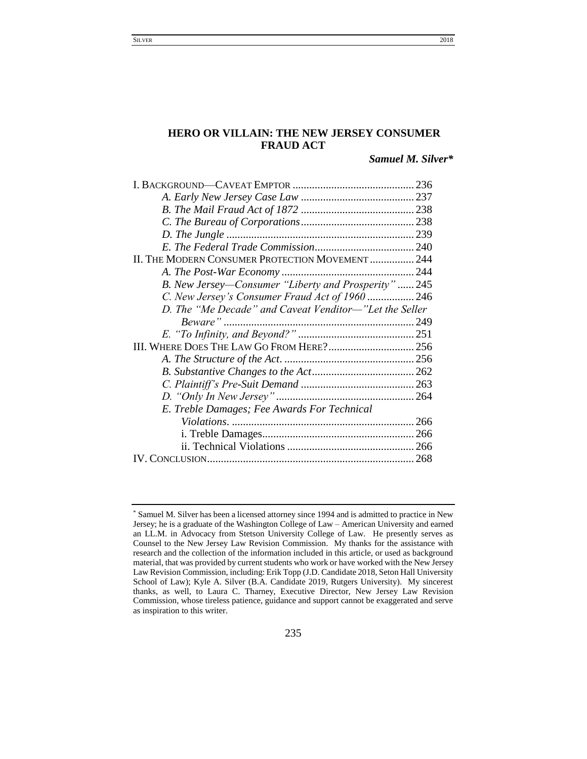# **HERO OR VILLAIN: THE NEW JERSEY CONSUMER FRAUD ACT**

*Samuel M. Silver\**

| II. THE MODERN CONSUMER PROTECTION MOVEMENT  244       |  |
|--------------------------------------------------------|--|
|                                                        |  |
| B. New Jersey—Consumer "Liberty and Prosperity"245     |  |
| C. New Jersey's Consumer Fraud Act of 1960246          |  |
| D. The "Me Decade" and Caveat Venditor-"Let the Seller |  |
|                                                        |  |
|                                                        |  |
| III. WHERE DOES THE LAW GO FROM HERE? 256              |  |
|                                                        |  |
|                                                        |  |
|                                                        |  |
|                                                        |  |
| E. Treble Damages; Fee Awards For Technical            |  |
|                                                        |  |
|                                                        |  |
|                                                        |  |
|                                                        |  |
|                                                        |  |

<sup>\*</sup> Samuel M. Silver has been a licensed attorney since 1994 and is admitted to practice in New Jersey; he is a graduate of the Washington College of Law – American University and earned an LL.M. in Advocacy from Stetson University College of Law. He presently serves as Counsel to the New Jersey Law Revision Commission. My thanks for the assistance with research and the collection of the information included in this article, or used as background material, that was provided by current students who work or have worked with the New Jersey Law Revision Commission, including: Erik Topp (J.D. Candidate 2018, Seton Hall University School of Law); Kyle A. Silver (B.A. Candidate 2019, Rutgers University). My sincerest thanks, as well, to Laura C. Tharney, Executive Director, New Jersey Law Revision Commission, whose tireless patience, guidance and support cannot be exaggerated and serve as inspiration to this writer.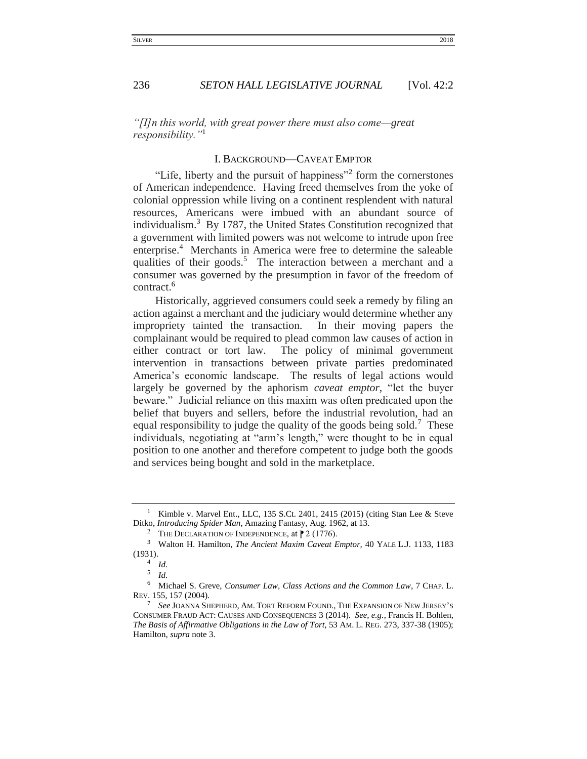## 236 **SETON HALL LEGISLATIVE JOURNAL** [Vol. 42:2

<span id="page-1-0"></span>*"[I]n this world, with great power there must also come—great responsibility."*<sup>1</sup>

# I. BACKGROUND—CAVEAT EMPTOR

"Life, liberty and the pursuit of happiness"<sup>2</sup> form the cornerstones of American independence. Having freed themselves from the yoke of colonial oppression while living on a continent resplendent with natural resources, Americans were imbued with an abundant source of individualism.<sup>3</sup> By 1787, the United States Constitution recognized that a government with limited powers was not welcome to intrude upon free enterprise.<sup>4</sup> Merchants in America were free to determine the saleable qualities of their goods.<sup>5</sup> The interaction between a merchant and a consumer was governed by the presumption in favor of the freedom of contract.<sup>6</sup>

Historically, aggrieved consumers could seek a remedy by filing an action against a merchant and the judiciary would determine whether any impropriety tainted the transaction. In their moving papers the complainant would be required to plead common law causes of action in either contract or tort law. The policy of minimal government intervention in transactions between private parties predominated America's economic landscape. The results of legal actions would largely be governed by the aphorism *caveat emptor,* "let the buyer beware." Judicial reliance on this maxim was often predicated upon the belief that buyers and sellers, before the industrial revolution, had an equal responsibility to judge the quality of the goods being sold.<sup>7</sup> These individuals, negotiating at "arm's length," were thought to be in equal position to one another and therefore competent to judge both the goods and services being bought and sold in the marketplace.

<sup>&</sup>lt;sup>1</sup> Kimble v. Marvel Ent., LLC, 135 S.Ct. 2401, 2415 (2015) (citing Stan Lee & Steve Ditko, *Introducing Spider Man*, Amazing Fantasy, Aug. 1962, at 13.

<sup>&</sup>lt;sup>2</sup> THE DECLARATION OF INDEPENDENCE, at  $\mathbb{P}$  2 (1776).

<sup>3</sup> Walton H. Hamilton, *The Ancient Maxim Caveat Emptor,* 40 YALE L.J. 1133, 1183 (1931).

<sup>4</sup> *Id.*

<sup>5</sup> *Id.*

<sup>6</sup> Michael S. Greve, *Consumer Law, Class Actions and the Common Law*, 7 CHAP. L. REV. 155, 157 (2004).

<sup>7</sup> *See* JOANNA SHEPHERD, AM. TORT REFORM FOUND., THE EXPANSION OF NEW JERSEY'S CONSUMER FRAUD ACT: CAUSES AND CONSEQUENCES 3 (2014). *See, e.g.*, Francis H. Bohlen, *The Basis of Affirmative Obligations in the Law of Tort*, 53 AM. L. REG. 273, 337-38 (1905); Hamilton, *supra* note 3.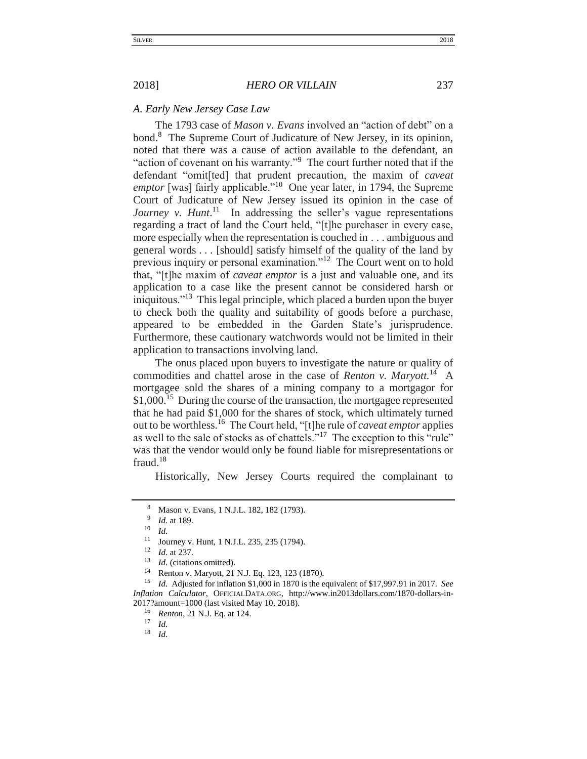## <span id="page-2-0"></span>*A. Early New Jersey Case Law*

The 1793 case of *Mason v. Evans* involved an "action of debt" on a bond.<sup>8</sup> The Supreme Court of Judicature of New Jersey, in its opinion, noted that there was a cause of action available to the defendant, an "action of covenant on his warranty."<sup>9</sup> The court further noted that if the defendant "omit[ted] that prudent precaution, the maxim of *caveat*  emptor [was] fairly applicable."<sup>10</sup> One year later, in 1794, the Supreme Court of Judicature of New Jersey issued its opinion in the case of Journey v. Hunt.<sup>11</sup> In addressing the seller's vague representations regarding a tract of land the Court held, "[t]he purchaser in every case, more especially when the representation is couched in . . . ambiguous and general words . . . [should] satisfy himself of the quality of the land by previous inquiry or personal examination."<sup>12</sup> The Court went on to hold that, "[t]he maxim of *caveat emptor* is a just and valuable one, and its application to a case like the present cannot be considered harsh or iniquitous."<sup>13</sup> This legal principle, which placed a burden upon the buyer to check both the quality and suitability of goods before a purchase, appeared to be embedded in the Garden State's jurisprudence. Furthermore, these cautionary watchwords would not be limited in their application to transactions involving land.

The onus placed upon buyers to investigate the nature or quality of commodities and chattel arose in the case of *Renton v. Maryott*.<sup>14</sup> A mortgagee sold the shares of a mining company to a mortgagor for \$1,000.<sup>15</sup> During the course of the transaction, the mortgagee represented that he had paid \$1,000 for the shares of stock, which ultimately turned out to be worthless.<sup>16</sup> The Court held, "[t]he rule of *caveat emptor* applies as well to the sale of stocks as of chattels."<sup>17</sup> The exception to this "rule" was that the vendor would only be found liable for misrepresentations or fraud.<sup>18</sup>

Historically, New Jersey Courts required the complainant to

 $\frac{17}{18}$  *Id.* 

<sup>8</sup> Mason v. Evans*,* 1 N.J.L. 182, 182 (1793).

<sup>9</sup> *Id.* at 189.

 $\frac{10}{11}$  *Id.* 

Journey v. Hunt, 1 N.J.L. 235, 235 (1794).

<sup>12</sup> *Id.* at 237.

<sup>13</sup> *Id.* (citations omitted).

<sup>14</sup> Renton v. Maryott, 21 N.J. Eq. 123, 123 (1870).

<sup>15</sup> *Id.* Adjusted for inflation \$1,000 in 1870 is the equivalent of \$17,997.91 in 2017. *See Inflation Calculator*, OFFICIALDATA.ORG, http://www.in2013dollars.com/1870-dollars-in-2017?amount=1000 (last visited May 10, 2018).

<sup>&</sup>lt;sup>16</sup> *Renton*, 21 N.J. Eq. at 124.

<sup>18</sup> *Id.*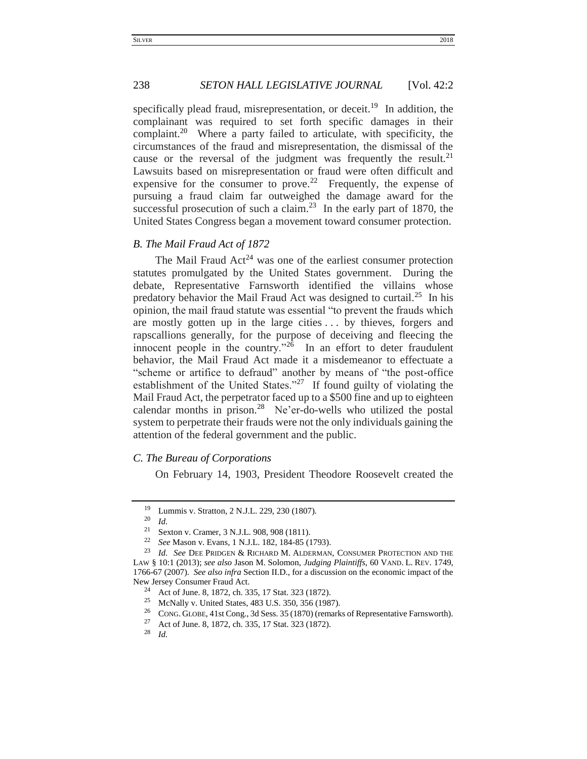## 238 *SETON HALL LEGISLATIVE JOURNAL* [Vol. 42:2

specifically plead fraud, misrepresentation, or deceit.<sup>19</sup> In addition, the complainant was required to set forth specific damages in their complaint.<sup>20</sup> Where a party failed to articulate, with specificity, the circumstances of the fraud and misrepresentation, the dismissal of the cause or the reversal of the judgment was frequently the result. $21$ Lawsuits based on misrepresentation or fraud were often difficult and expensive for the consumer to prove.<sup>22</sup> Frequently, the expense of pursuing a fraud claim far outweighed the damage award for the successful prosecution of such a claim. $^{23}$  In the early part of 1870, the United States Congress began a movement toward consumer protection.

# <span id="page-3-0"></span>*B. The Mail Fraud Act of 1872*

The Mail Fraud  $Act^{24}$  was one of the earliest consumer protection statutes promulgated by the United States government. During the debate, Representative Farnsworth identified the villains whose predatory behavior the Mail Fraud Act was designed to curtail.<sup>25</sup> In his opinion, the mail fraud statute was essential "to prevent the frauds which are mostly gotten up in the large cities . . . by thieves, forgers and rapscallions generally, for the purpose of deceiving and fleecing the innocent people in the country."<sup>26</sup> In an effort to deter fraudulent behavior, the Mail Fraud Act made it a misdemeanor to effectuate a "scheme or artifice to defraud" another by means of "the post-office establishment of the United States."<sup>27</sup> If found guilty of violating the Mail Fraud Act, the perpetrator faced up to a \$500 fine and up to eighteen calendar months in prison.<sup>28</sup> Ne'er-do-wells who utilized the postal system to perpetrate their frauds were not the only individuals gaining the attention of the federal government and the public.

# <span id="page-3-1"></span>*C. The Bureau of Corporations*

On February 14, 1903, President Theodore Roosevelt created the

<sup>&</sup>lt;sup>19</sup> Lummis v. Stratton, 2 N.J.L. 229, 230 (1807).

<sup>20</sup> *Id.*

<sup>21</sup> Sexton v. Cramer, 3 N.J.L. 908, 908 (1811).

<sup>22</sup> *See* Mason v. Evans*,* 1 N.J.L. 182, 184-85 (1793).

<sup>1</sup>d. See DEE PRIDGEN & RICHARD M. ALDERMAN, CONSUMER PROTECTION AND THE LAW § 10:1 (2013); *see also* Jason M. Solomon, *Judging Plaintiffs*, 60 VAND. L. REV. 1749, 1766-67 (2007). *See also infra* Section II.D., for a discussion on the economic impact of the New Jersey Consumer Fraud Act.

<sup>&</sup>lt;sup>24</sup> Act of June. 8, 1872, ch. 335, 17 Stat. 323 (1872).

<sup>&</sup>lt;sup>25</sup> McNally v. United States, 483 U.S. 350, 356 (1987).<br><sup>26</sup> CONG GLOBE 41st Cong. 3d Sess. 35 (1870) (remark

<sup>&</sup>lt;sup>26</sup> CONG. GLOBE, 41st Cong., 3d Sess. 35 (1870) (remarks of Representative Farnsworth).<br><sup>27</sup> Act of June 8, 1872, ch. 335, 17 Stat. 323 (1872)

<sup>&</sup>lt;sup>27</sup> Act of June. 8, 1872, ch. 335, 17 Stat. 323 (1872).

*Id.*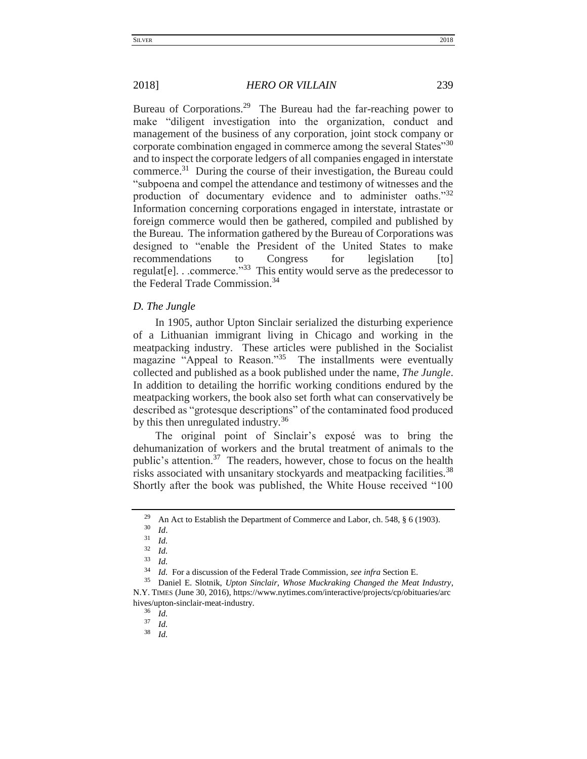Bureau of Corporations.<sup>29</sup> The Bureau had the far-reaching power to make "diligent investigation into the organization, conduct and management of the business of any corporation, joint stock company or corporate combination engaged in commerce among the several States<sup>"30</sup> and to inspect the corporate ledgers of all companies engaged in interstate commerce.<sup>31</sup> During the course of their investigation, the Bureau could "subpoena and compel the attendance and testimony of witnesses and the production of documentary evidence and to administer oaths."32 Information concerning corporations engaged in interstate, intrastate or foreign commerce would then be gathered, compiled and published by the Bureau. The information gathered by the Bureau of Corporations was designed to "enable the President of the United States to make recommendations to Congress for legislation [to] regulat[e]. . .commerce."<sup>33</sup> This entity would serve as the predecessor to the Federal Trade Commission.<sup>34</sup>

## <span id="page-4-0"></span>*D. The Jungle*

In 1905, author Upton Sinclair serialized the disturbing experience of a Lithuanian immigrant living in Chicago and working in the meatpacking industry. These articles were published in the Socialist magazine "Appeal to Reason."<sup>35</sup> The installments were eventually collected and published as a book published under the name, *The Jungle*. In addition to detailing the horrific working conditions endured by the meatpacking workers, the book also set forth what can conservatively be described as "grotesque descriptions" of the contaminated food produced by this then unregulated industry.<sup>36</sup>

The original point of Sinclair's exposé was to bring the dehumanization of workers and the brutal treatment of animals to the public's attention.<sup>37</sup> The readers, however, chose to focus on the health risks associated with unsanitary stockyards and meatpacking facilities.<sup>38</sup> Shortly after the book was published, the White House received "100

<sup>&</sup>lt;sup>29</sup> An Act to Establish the Department of Commerce and Labor, ch. 548, § 6 (1903).

 $rac{30}{31}$  *Id.* 

 $rac{31}{32}$  *Id.* 

 $rac{32}{33}$  *Id.* 

<sup>33</sup> *Id.*

<sup>34</sup> *Id.* For a discussion of the Federal Trade Commission, *see infra* Section E.

<sup>35</sup> Daniel E. Slotnik, *Upton Sinclair, Whose Muckraking Changed the Meat Industry*, N.Y. TIMES (June 30, 2016), https://www.nytimes.com/interactive/projects/cp/obituaries/arc hives/upton-sinclair-meat-industry.<br> $\frac{36}{14}$ 

 $rac{36}{37}$  *Id.* 

 $rac{37}{38}$  *Id.* 

<sup>38</sup> *Id.*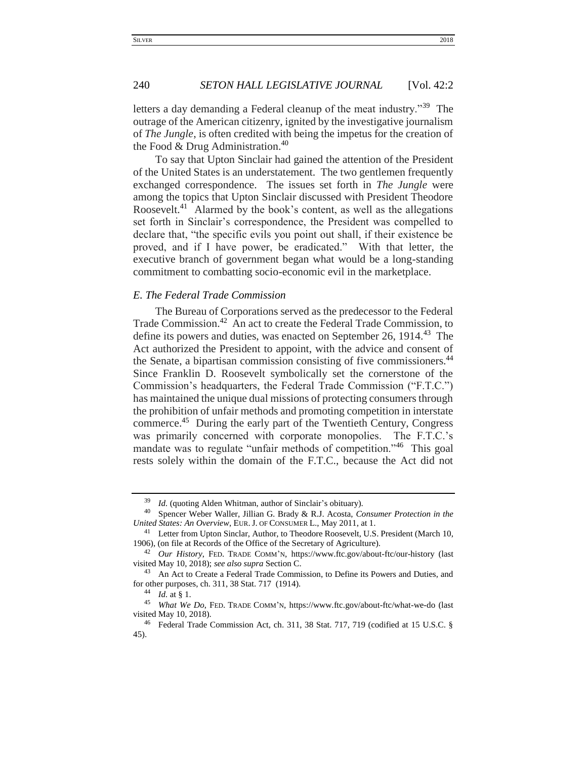letters a day demanding a Federal cleanup of the meat industry."<sup>39</sup> The outrage of the American citizenry, ignited by the investigative journalism of *The Jungle*, is often credited with being the impetus for the creation of the Food & Drug Administration.<sup>40</sup>

To say that Upton Sinclair had gained the attention of the President of the United States is an understatement. The two gentlemen frequently exchanged correspondence. The issues set forth in *The Jungle* were among the topics that Upton Sinclair discussed with President Theodore Roosevelt.<sup>41</sup> Alarmed by the book's content, as well as the allegations set forth in Sinclair's correspondence, the President was compelled to declare that, "the specific evils you point out shall, if their existence be proved, and if I have power, be eradicated." With that letter, the executive branch of government began what would be a long-standing commitment to combatting socio-economic evil in the marketplace.

# <span id="page-5-0"></span>*E. The Federal Trade Commission*

The Bureau of Corporations served as the predecessor to the Federal Trade Commission.<sup>42</sup> An act to create the Federal Trade Commission, to define its powers and duties, was enacted on September 26, 1914.<sup>43</sup> The Act authorized the President to appoint, with the advice and consent of the Senate, a bipartisan commission consisting of five commissioners.<sup>44</sup> Since Franklin D. Roosevelt symbolically set the cornerstone of the Commission's headquarters, the Federal Trade Commission ("F.T.C.") has maintained the unique dual missions of protecting consumers through the prohibition of unfair methods and promoting competition in interstate commerce.<sup>45</sup> During the early part of the Twentieth Century, Congress was primarily concerned with corporate monopolies. The F.T.C.'s mandate was to regulate "unfair methods of competition."<sup>46</sup> This goal rests solely within the domain of the F.T.C., because the Act did not

<sup>39</sup> *Id.* (quoting Alden Whitman, author of Sinclair's obituary).

<sup>40</sup> Spencer Weber Waller, Jillian G. Brady & R.J. Acosta, *Consumer Protection in the United States: An Overview*, EUR.J. OF CONSUMER L., May 2011, at 1.

<sup>&</sup>lt;sup>41</sup> Letter from Upton Sinclar, Author, to Theodore Roosevelt, U.S. President (March 10, 1906), (on file at Records of the Office of the Secretary of Agriculture).

<sup>42</sup> *Our History*, FED. TRADE COMM'N, https://www.ftc.gov/about-ftc/our-history (last visited May 10, 2018); *see also supra* Section C.

<sup>43</sup> An Act to Create a Federal Trade Commission, to Define its Powers and Duties, and for other purposes, ch. 311, 38 Stat. 717 (1914).

 $\frac{44}{45}$  *Id.* at § 1.

What We Do, FED. TRADE COMM'N, https://www.ftc.gov/about-ftc/what-we-do (last visited May 10, 2018).

Federal Trade Commission Act, ch. 311, 38 Stat. 717, 719 (codified at 15 U.S.C. § 45).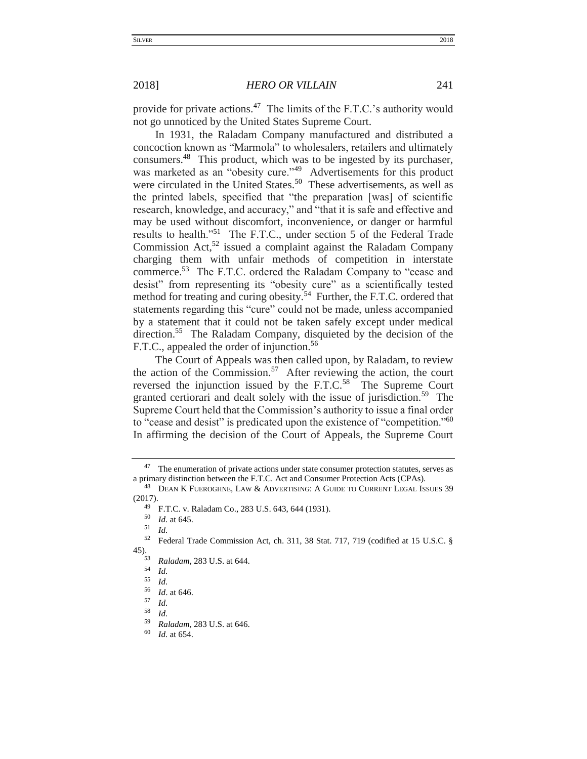provide for private actions.<sup>47</sup> The limits of the F.T.C.'s authority would not go unnoticed by the United States Supreme Court.

In 1931, the Raladam Company manufactured and distributed a concoction known as "Marmola" to wholesalers, retailers and ultimately consumers.<sup>48</sup> This product, which was to be ingested by its purchaser, was marketed as an "obesity cure."<sup>49</sup> Advertisements for this product were circulated in the United States.<sup>50</sup> These advertisements, as well as the printed labels, specified that "the preparation [was] of scientific research, knowledge, and accuracy," and "that it is safe and effective and may be used without discomfort, inconvenience, or danger or harmful results to health."<sup>51</sup> The F.T.C., under section 5 of the Federal Trade Commission Act,<sup>52</sup> issued a complaint against the Raladam Company charging them with unfair methods of competition in interstate commerce.<sup>53</sup> The F.T.C. ordered the Raladam Company to "cease and desist" from representing its "obesity cure" as a scientifically tested method for treating and curing obesity.<sup>54</sup> Further, the F.T.C. ordered that statements regarding this "cure" could not be made, unless accompanied by a statement that it could not be taken safely except under medical direction.<sup>55</sup> The Raladam Company, disquieted by the decision of the F.T.C., appealed the order of injunction.<sup>56</sup>

The Court of Appeals was then called upon, by Raladam, to review the action of the Commission.<sup>57</sup> After reviewing the action, the court reversed the injunction issued by the  $F.T.C.<sup>58</sup>$  The Supreme Court granted certiorari and dealt solely with the issue of jurisdiction.<sup>59</sup> The Supreme Court held that the Commission's authority to issue a final order to "cease and desist" is predicated upon the existence of "competition."<sup>60</sup> In affirming the decision of the Court of Appeals, the Supreme Court

<sup>52</sup> Federal Trade Commission Act, ch. 311, 38 Stat. 717, 719 (codified at 15 U.S.C. § 45).

<sup>&</sup>lt;sup>47</sup> The enumeration of private actions under state consumer protection statutes, serves as a primary distinction between the F.T.C. Act and Consumer Protection Acts (CPAs).

<sup>&</sup>lt;sup>48</sup> DEAN K FUEROGHNE, LAW & ADVERTISING: A GUIDE TO CURRENT LEGAL ISSUES 39 (2017).

<sup>&</sup>lt;sup>49</sup> F.T.C. v. Raladam Co., 283 U.S. 643, 644 (1931).

 $\frac{50}{51}$  *Id.* at 645.

<sup>51</sup> *Id.*

<sup>53</sup> *Raladam*, 283 U.S. at 644.

 $\frac{54}{55}$  *Id.* 

<sup>55</sup> *Id.*

 $\frac{56}{57}$  *Id.* at 646.

 $\begin{array}{cc} 57 & Id. \\ 58 & I. \end{array}$ 

*Id.* 

<sup>59</sup> *Raladam*, 283 U.S. at 646.

*Id.* at 654.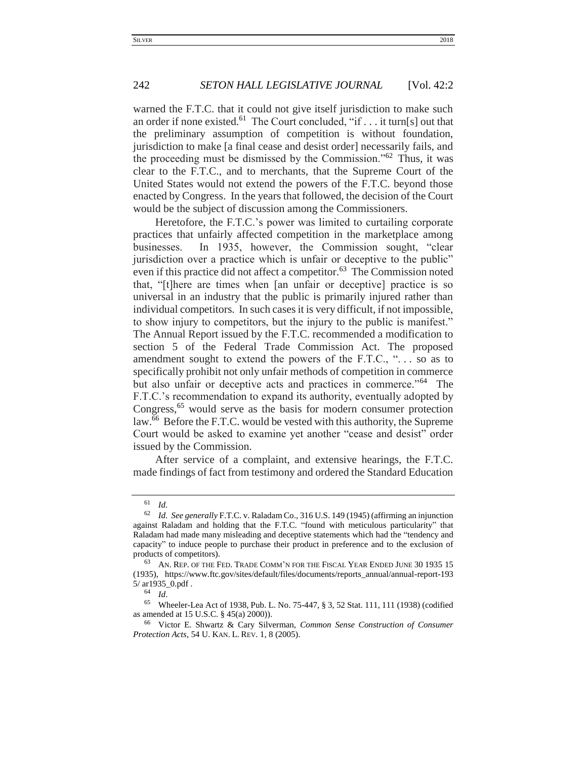warned the F.T.C. that it could not give itself jurisdiction to make such an order if none existed.<sup>61</sup> The Court concluded, "if . . . it turn[s] out that the preliminary assumption of competition is without foundation, jurisdiction to make [a final cease and desist order] necessarily fails, and the proceeding must be dismissed by the Commission." $62$  Thus, it was clear to the F.T.C., and to merchants, that the Supreme Court of the United States would not extend the powers of the F.T.C. beyond those enacted by Congress. In the years that followed, the decision of the Court would be the subject of discussion among the Commissioners.

Heretofore, the F.T.C.'s power was limited to curtailing corporate practices that unfairly affected competition in the marketplace among businesses. In 1935, however, the Commission sought, "clear jurisdiction over a practice which is unfair or deceptive to the public" even if this practice did not affect a competitor.<sup>63</sup> The Commission noted that, "[t]here are times when [an unfair or deceptive] practice is so universal in an industry that the public is primarily injured rather than individual competitors. In such cases it is very difficult, if not impossible, to show injury to competitors, but the injury to the public is manifest." The Annual Report issued by the F.T.C. recommended a modification to section 5 of the Federal Trade Commission Act. The proposed amendment sought to extend the powers of the F.T.C., "... so as to specifically prohibit not only unfair methods of competition in commerce but also unfair or deceptive acts and practices in commerce."<sup>64</sup> The F.T.C.'s recommendation to expand its authority, eventually adopted by Congress,<sup>65</sup> would serve as the basis for modern consumer protection law.<sup>66</sup> Before the F.T.C. would be vested with this authority, the Supreme Court would be asked to examine yet another "cease and desist" order issued by the Commission.

After service of a complaint, and extensive hearings, the F.T.C. made findings of fact from testimony and ordered the Standard Education

 $\begin{bmatrix} 61 & Id. \\ 62 & Id. \end{bmatrix}$ 

Id. See generally F.T.C. v. Raladam Co., 316 U.S. 149 (1945) (affirming an injunction against Raladam and holding that the F.T.C. "found with meticulous particularity" that Raladam had made many misleading and deceptive statements which had the "tendency and capacity" to induce people to purchase their product in preference and to the exclusion of products of competitors).

<sup>63</sup> AN. REP. OF THE FED. TRADE COMM'N FOR THE FISCAL YEAR ENDED JUNE 30 1935 15 (1935), https://www.ftc.gov/sites/default/files/documents/reports\_annual/annual-report-193 5/ ar1935\_0.pdf .

 $\frac{64}{65}$  *Id.* 

<sup>65</sup> Wheeler-Lea Act of 1938, Pub. L. No. 75-447, § 3, 52 Stat. 111, 111 (1938) (codified as amended at 15 U.S.C. § 45(a) 2000)).

<sup>66</sup> Victor E. Shwartz & Cary Silverman, *Common Sense Construction of Consumer Protection Acts,* 54 U. KAN. L. REV. 1, 8 (2005).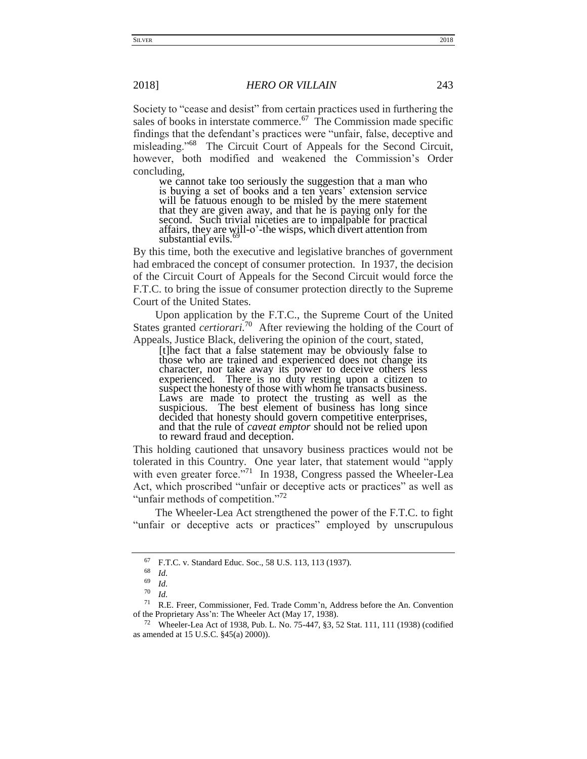Society to "cease and desist" from certain practices used in furthering the sales of books in interstate commerce.<sup>67</sup> The Commission made specific findings that the defendant's practices were "unfair, false, deceptive and misleading."<sup>68</sup> The Circuit Court of Appeals for the Second Circuit, however, both modified and weakened the Commission's Order concluding,

we cannot take too seriously the suggestion that a man who is buying a set of books and a ten years' extension service will be fatuous enough to be misled by the mere statement that they are given away, and that he is paying only for the second. Such trivial niceties are to impalpable for practical affairs, they are will-o'-the wisps, which divert attention from substantial evils.

By this time, both the executive and legislative branches of government had embraced the concept of consumer protection. In 1937, the decision of the Circuit Court of Appeals for the Second Circuit would force the F.T.C. to bring the issue of consumer protection directly to the Supreme Court of the United States.

Upon application by the F.T.C., the Supreme Court of the United States granted *certiorari*.<sup>70</sup> After reviewing the holding of the Court of Appeals, Justice Black, delivering the opinion of the court, stated,

[t]he fact that a false statement may be obviously false to those who are trained and experienced does not change its character, nor take away its power to deceive others less experienced. There is no duty resting upon a citizen to suspect the honesty of those with whom he transacts business. Laws are made to protect the trusting as well as the suspicious. The best element of business has long since decided that honesty should govern competitive enterprises, and that the rule of *caveat emptor* should not be relied upon to reward fraud and deception.

This holding cautioned that unsavory business practices would not be tolerated in this Country. One year later, that statement would "apply with even greater force."<sup>71</sup> In 1938, Congress passed the Wheeler-Lea Act, which proscribed "unfair or deceptive acts or practices" as well as "unfair methods of competition."<sup>72</sup>

The Wheeler-Lea Act strengthened the power of the F.T.C. to fight "unfair or deceptive acts or practices" employed by unscrupulous

<sup>67</sup> F.T.C. v. Standard Educ. Soc., 58 U.S. 113, 113 (1937).

<sup>68</sup> *Id.*

 $\frac{69}{70}$  *Id.* 

 $\frac{70}{71}$  *Id.* 

R.E. Freer, Commissioner, Fed. Trade Comm'n, Address before the An. Convention of the Proprietary Ass'n: The Wheeler Act (May 17, 1938).

<sup>&</sup>lt;sup>72</sup> Wheeler-Lea Act of 1938, Pub. L. No. 75-447, §3, 52 Stat. 111, 111 (1938) (codified as amended at 15 U.S.C. §45(a) 2000)).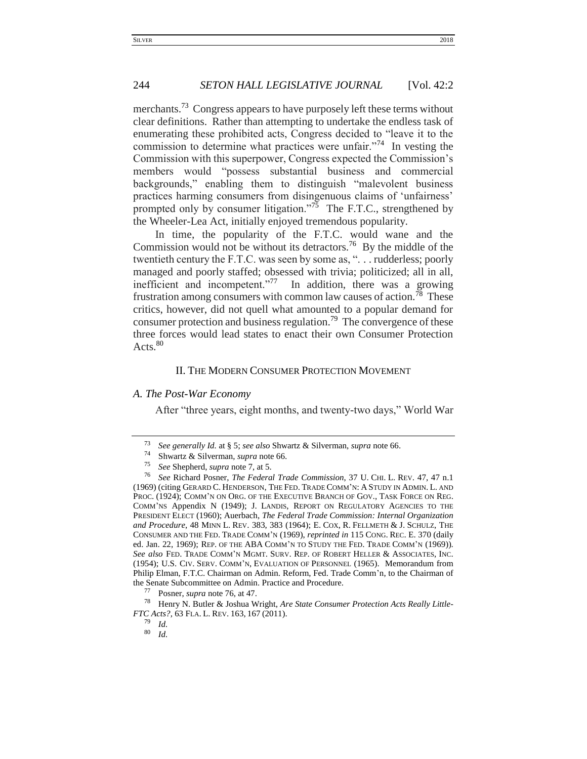## 244 *SETON HALL LEGISLATIVE JOURNAL* [Vol. 42:2

merchants.<sup>73</sup> Congress appears to have purposely left these terms without clear definitions. Rather than attempting to undertake the endless task of enumerating these prohibited acts, Congress decided to "leave it to the commission to determine what practices were unfair."<sup>74</sup> In vesting the Commission with this superpower, Congress expected the Commission's members would "possess substantial business and commercial backgrounds," enabling them to distinguish "malevolent business practices harming consumers from disingenuous claims of 'unfairness' prompted only by consumer litigation."<sup>75</sup> The F.T.C., strengthened by the Wheeler-Lea Act, initially enjoyed tremendous popularity.

In time, the popularity of the F.T.C. would wane and the Commission would not be without its detractors.<sup>76</sup> By the middle of the twentieth century the F.T.C. was seen by some as, ". . . rudderless; poorly managed and poorly staffed; obsessed with trivia; politicized; all in all, inefficient and incompetent."<sup>77</sup> In addition, there was a growing frustration among consumers with common law causes of action.<sup>78</sup> These critics, however, did not quell what amounted to a popular demand for consumer protection and business regulation.<sup>79</sup> The convergence of these three forces would lead states to enact their own Consumer Protection Acts.<sup>80</sup>

## II. THE MODERN CONSUMER PROTECTION MOVEMENT

## <span id="page-9-1"></span><span id="page-9-0"></span>*A. The Post-War Economy*

After "three years, eight months, and twenty-two days," World War

<sup>73</sup> *See generally Id.* at § 5; *see also* Shwartz & Silverman, *supra* note 66.

<sup>&</sup>lt;sup>74</sup> Shwartz & Silverman, *supra* note 66.<br><sup>75</sup> See Shepherd, *supra* note 7 at 5

<sup>75</sup> *See* Shepherd, *supra* note 7, at 5.

<sup>76</sup> *See* Richard Posner, *The Federal Trade Commission*, 37 U. CHI. L. REV. 47, 47 n.1 (1969) (citing GERARD C. HENDERSON, THE FED. TRADE COMM'N: A STUDY IN ADMIN. L. AND PROC. (1924); COMM'N ON ORG. OF THE EXECUTIVE BRANCH OF GOV., TASK FORCE ON REG. COMM'NS Appendix N (1949); J. LANDIS, REPORT ON REGULATORY AGENCIES TO THE PRESIDENT ELECT (1960); Auerbach, *The Federal Trade Commission: Internal Organization and Procedure*, 48 MINN L. REV. 383, 383 (1964); E. COX, R. FELLMETH & J. SCHULZ, THE CONSUMER AND THE FED. TRADE COMM'N (1969), *reprinted in* 115 CONG. REC. E. 370 (daily ed. Jan. 22, 1969); REP. OF THE ABA COMM'N TO STUDY THE FED. TRADE COMM'N (1969)). *See also* FED. TRADE COMM'N MGMT. SURV. REP. OF ROBERT HELLER & ASSOCIATES, INC. (1954); U.S. CIV. SERV. COMM'N, EVALUATION OF PERSONNEL (1965). Memorandum from Philip Elman, F.T.C. Chairman on Admin. Reform, Fed. Trade Comm'n, to the Chairman of the Senate Subcommittee on Admin. Practice and Procedure.

<sup>77</sup> Posner, *supra* note 76, at 47.

<sup>78</sup> Henry N. Butler & Joshua Wright, *Are State Consumer Protection Acts Really Little-FTC Acts?,* 63 FLA. L. REV. 163, 167 (2011).

<sup>79</sup> *Id.* 

<sup>80</sup> *Id.*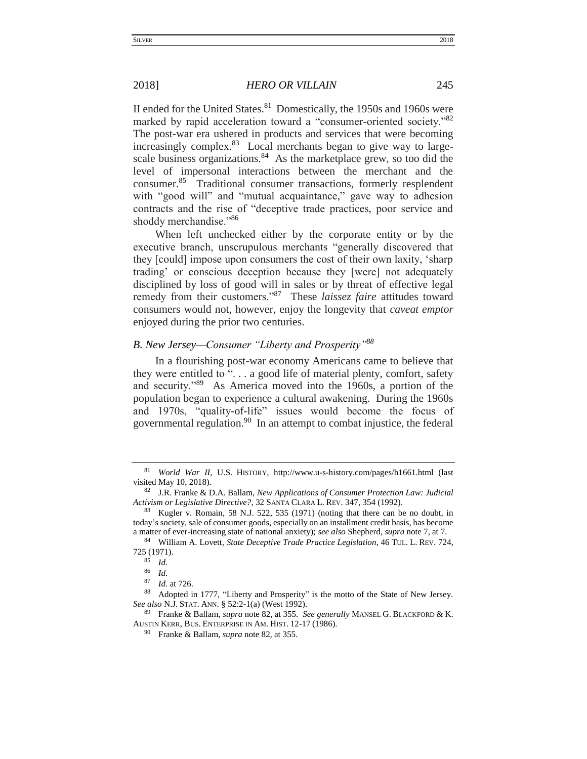II ended for the United States.<sup>81</sup> Domestically, the 1950s and 1960s were marked by rapid acceleration toward a "consumer-oriented society."<sup>82</sup> The post-war era ushered in products and services that were becoming increasingly complex.<sup>83</sup> Local merchants began to give way to largescale business organizations.<sup>84</sup> As the marketplace grew, so too did the level of impersonal interactions between the merchant and the consumer.<sup>85</sup> Traditional consumer transactions, formerly resplendent with "good will" and "mutual acquaintance," gave way to adhesion contracts and the rise of "deceptive trade practices, poor service and shoddy merchandise."<sup>86</sup>

When left unchecked either by the corporate entity or by the executive branch, unscrupulous merchants "generally discovered that they [could] impose upon consumers the cost of their own laxity, 'sharp trading' or conscious deception because they [were] not adequately disciplined by loss of good will in sales or by threat of effective legal remedy from their customers."<sup>87</sup> These *laissez faire* attitudes toward consumers would not, however, enjoy the longevity that *caveat emptor*  enjoyed during the prior two centuries.

# <span id="page-10-0"></span>*B. New Jersey—Consumer "Liberty and Prosperity"<sup>88</sup>*

In a flourishing post-war economy Americans came to believe that they were entitled to ". . . a good life of material plenty, comfort, safety and security."<sup>89</sup> As America moved into the 1960s, a portion of the population began to experience a cultural awakening. During the 1960s and 1970s, "quality-of-life" issues would become the focus of governmental regulation.<sup>90</sup> In an attempt to combat injustice, the federal

<sup>89</sup> Franke & Ballam, *supra* note 82, at 355. *See generally* MANSEL G. BLACKFORD & K. AUSTIN KERR, BUS. ENTERPRISE IN AM. HIST. 12-17 (1986).

<sup>81</sup> *World War II*, U.S. HISTORY, http://www.u-s-history.com/pages/h1661.html (last visited May 10, 2018).

<sup>82</sup> J.R. Franke & D.A. Ballam, *New Applications of Consumer Protection Law: Judicial Activism or Legislative Directive?*, 32 SANTA CLARA L. REV. 347, 354 (1992).

<sup>83</sup> Kugler v. Romain*,* 58 N.J. 522, 535 (1971) (noting that there can be no doubt, in today's society, sale of consumer goods, especially on an installment credit basis, has become a matter of ever-increasing state of national anxiety); *see also* Shepherd, *supra* note 7, at 7.

<sup>84</sup> William A. Lovett, *State Deceptive Trade Practice Legislation*, 46 TUL. L. REV. 724, 725 (1971).

 $\frac{85}{86}$  *Id.* 

<sup>86</sup> *Id.*

<sup>87</sup> *Id.* at 726.

<sup>88</sup> Adopted in 1777, "Liberty and Prosperity" is the motto of the State of New Jersey. *See also* N.J. STAT. ANN. § 52:2-1(a) (West 1992).

<sup>90</sup> Franke & Ballam, *supra* note 82, at 355.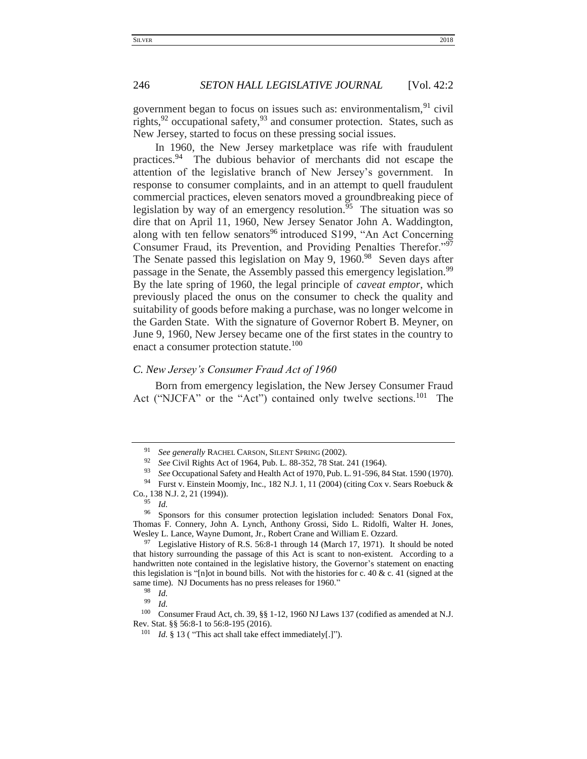government began to focus on issues such as: environmentalism,  $91$  civil rights, $92$  occupational safety, $93$  and consumer protection. States, such as New Jersey, started to focus on these pressing social issues.

In 1960, the New Jersey marketplace was rife with fraudulent practices.<sup>94</sup> The dubious behavior of merchants did not escape the attention of the legislative branch of New Jersey's government. In response to consumer complaints, and in an attempt to quell fraudulent commercial practices, eleven senators moved a groundbreaking piece of legislation by way of an emergency resolution.<sup> $55$ </sup> The situation was so dire that on April 11, 1960, New Jersey Senator John A. Waddington, along with ten fellow senators<sup>96</sup> introduced S199, "An Act Concerning Consumer Fraud, its Prevention, and Providing Penalties Therefor."<sup>97</sup> The Senate passed this legislation on May 9,  $1960.^{98}$  Seven days after passage in the Senate, the Assembly passed this emergency legislation.<sup>99</sup> By the late spring of 1960, the legal principle of *caveat emptor*, which previously placed the onus on the consumer to check the quality and suitability of goods before making a purchase, was no longer welcome in the Garden State. With the signature of Governor Robert B. Meyner, on June 9, 1960, New Jersey became one of the first states in the country to enact a consumer protection statute.<sup>100</sup>

## <span id="page-11-0"></span>*C. New Jersey's Consumer Fraud Act of 1960*

Born from emergency legislation, the New Jersey Consumer Fraud Act ("NJCFA" or the "Act") contained only twelve sections.<sup>101</sup> The

See generally RACHEL CARSON, SILENT SPRING (2002).

<sup>92</sup> *See* Civil Rights Act of 1964, Pub. L. 88-352, 78 Stat. 241 (1964).

<sup>93</sup> *See* Occupational Safety and Health Act of 1970, Pub. L. 91-596, 84 Stat. 1590 (1970).

<sup>94</sup> Furst v. Einstein Moomjy, Inc., 182 N.J. 1, 11 (2004) (citing Cox v. Sears Roebuck & Co*.*, 138 N.J. 2, 21 (1994)).

<sup>95</sup> *Id.*

<sup>96</sup> Sponsors for this consumer protection legislation included: Senators Donal Fox, Thomas F. Connery, John A. Lynch, Anthony Grossi, Sido L. Ridolfi, Walter H. Jones, Wesley L. Lance, Wayne Dumont, Jr., Robert Crane and William E. Ozzard.

 $97$  Legislative History of R.S. 56:8-1 through 14 (March 17, 1971). It should be noted that history surrounding the passage of this Act is scant to non-existent. According to a handwritten note contained in the legislative history, the Governor's statement on enacting this legislation is "[n]ot in bound bills. Not with the histories for c. 40 & c. 41 (signed at the same time). NJ Documents has no press releases for 1960."

 $\frac{98}{99}$  *Id.* 

 $\frac{99}{100}$  *Id.* 

Consumer Fraud Act, ch. 39,  $\S$ § 1-12, 1960 NJ Laws 137 (codified as amended at N.J. Rev. Stat. §§ 56:8-1 to 56:8-195 (2016).

<sup>&</sup>lt;sup>101</sup> *Id.* § 13 ( "This act shall take effect immediately[.]").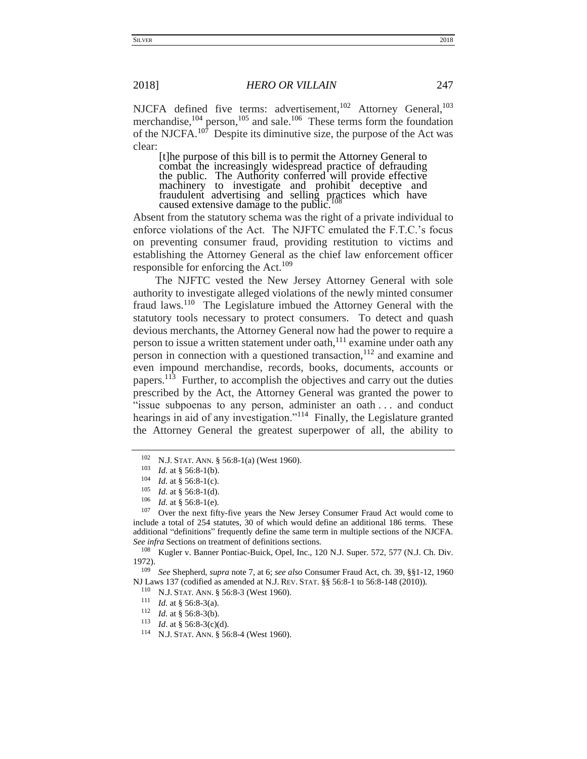NJCFA defined five terms: advertisement,<sup>102</sup> Attorney General,<sup>103</sup> merchandise,  $^{104}$  person,  $^{105}$  and sale.  $^{106}$  These terms form the foundation of the NJCFA.<sup>107</sup> Despite its diminutive size, the purpose of the Act was clear:

[t]he purpose of this bill is to permit the Attorney General to combat the increasingly widespread practice of defrauding the public. The Authority conferred will provide effective machinery to investigate and prohibit deceptive and fraudulent advertising and selling practices which have caused extensive damage to the public.

Absent from the statutory schema was the right of a private individual to enforce violations of the Act. The NJFTC emulated the F.T.C.'s focus on preventing consumer fraud, providing restitution to victims and establishing the Attorney General as the chief law enforcement officer responsible for enforcing the Act.<sup>109</sup>

The NJFTC vested the New Jersey Attorney General with sole authority to investigate alleged violations of the newly minted consumer fraud laws.<sup>110</sup> The Legislature imbued the Attorney General with the statutory tools necessary to protect consumers. To detect and quash devious merchants, the Attorney General now had the power to require a person to issue a written statement under oath,<sup>111</sup> examine under oath any person in connection with a questioned transaction,  $112$  and examine and even impound merchandise, records, books, documents, accounts or papers.<sup>113</sup> Further, to accomplish the objectives and carry out the duties prescribed by the Act, the Attorney General was granted the power to "issue subpoenas to any person, administer an oath . . . and conduct hearings in aid of any investigation."<sup>114</sup> Finally, the Legislature granted the Attorney General the greatest superpower of all, the ability to

<sup>102</sup> N.J. STAT. ANN. § 56:8-1(a) (West 1960).

 $\frac{103}{104}$  *Id.* at § 56:8-1(b).

*Id.* at § 56:8-1(c).

<sup>&</sup>lt;sup>105</sup> *Id.* at § 56:8-1(d).<br><sup>106</sup> *Id.* at § 56:8-1(a)

 $\frac{106}{107}$  *Id.* at § 56:8-1(e).

Over the next fifty-five years the New Jersey Consumer Fraud Act would come to include a total of 254 statutes, 30 of which would define an additional 186 terms. These additional "definitions" frequently define the same term in multiple sections of the NJCFA. *See infra* Sections on treatment of definitions sections*.*

<sup>&</sup>lt;sup>108</sup> Kugler v. Banner Pontiac-Buick, Opel, Inc., 120 N.J. Super. 572, 577 (N.J. Ch. Div. 1972).

<sup>109</sup> *See* Shepherd, *supra* note 7, at 6; *see also* Consumer Fraud Act, ch. 39, §§1-12, 1960 NJ Laws 137 (codified as amended at N.J. REV. STAT. §§ 56:8-1 to 56:8-148 (2010)).

<sup>&</sup>lt;sup>110</sup> N.J. STAT. ANN. § 56:8-3 (West 1960).<br><sup>111</sup> *M* at \$ 56:8 3(a)

<sup>&</sup>lt;sup>111</sup> *Id.* at § 56:8-3(a).<br><sup>112</sup> *Id.* at 8.56:8.3(b)

*Id.* at § 56:8-3(b).

<sup>&</sup>lt;sup>113</sup> *Id.* at § 56:8-3(c)(d).<br><sup>114</sup> NJ STAT ANN 8.56

N.J. STAT. ANN. § 56:8-4 (West 1960).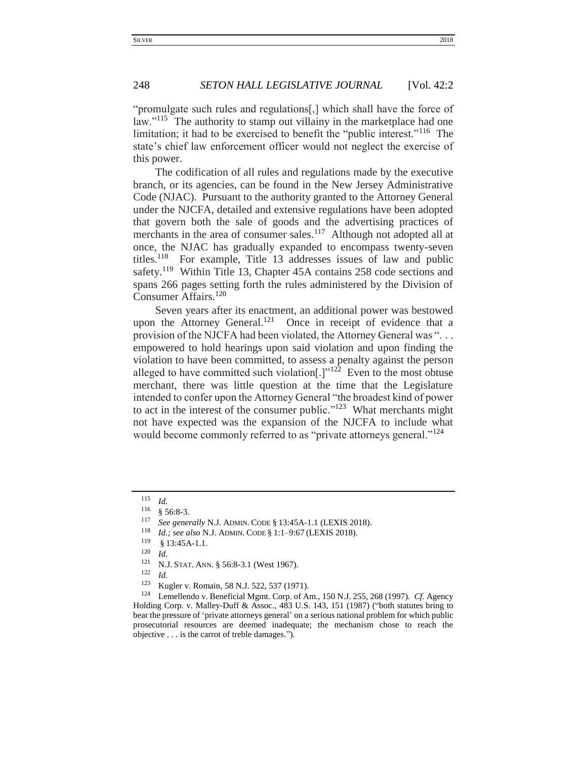"promulgate such rules and regulations[,] which shall have the force of law."<sup>115</sup> The authority to stamp out villainy in the marketplace had one limitation; it had to be exercised to benefit the "public interest."<sup>116</sup> The state's chief law enforcement officer would not neglect the exercise of this power.

The codification of all rules and regulations made by the executive branch, or its agencies, can be found in the New Jersey Administrative Code (NJAC). Pursuant to the authority granted to the Attorney General under the NJCFA, detailed and extensive regulations have been adopted that govern both the sale of goods and the advertising practices of merchants in the area of consumer sales.<sup>117</sup> Although not adopted all at once, the NJAC has gradually expanded to encompass twenty-seven titles.<sup>118</sup> For example, Title 13 addresses issues of law and public safety.<sup>119</sup> Within Title 13, Chapter 45A contains 258 code sections and spans 266 pages setting forth the rules administered by the Division of Consumer Affairs.<sup>120</sup>

Seven years after its enactment, an additional power was bestowed upon the Attorney General.<sup>121</sup> Once in receipt of evidence that a provision of the NJCFA had been violated, the Attorney General was ". . . empowered to hold hearings upon said violation and upon finding the violation to have been committed, to assess a penalty against the person alleged to have committed such violation<sup>[1]'122</sup> Even to the most obtuse merchant, there was little question at the time that the Legislature intended to confer upon the Attorney General "the broadest kind of power to act in the interest of the consumer public."<sup>123</sup> What merchants might not have expected was the expansion of the NJCFA to include what would become commonly referred to as "private attorneys general."<sup>124</sup>

<sup>118</sup> *Id.; see also* N.J. ADMIN. CODE § 1:1–9:67 (LEXIS 2018).

<sup>115</sup> *Id.*

 $\frac{116}{117}$  § 56:8-3.

<sup>&</sup>lt;sup>117</sup> *See generally* N.J. ADMIN. CODE § 13:45A-1.1 (LEXIS 2018).<br><sup>118</sup> *Id., see also* N.J. ADMN. CODE <sup>§</sup> 1:1, 0:67 (LEXIS 2018).

 $\begin{array}{c} 119 \\ 120 \\ 14 \end{array}$  § 13:45A-1.1.

 $\frac{120}{121}$  *Id.* 

<sup>&</sup>lt;sup>121</sup> N.J. STAT. ANN. § 56:8-3.1 (West 1967).<br><sup>122</sup> I<sub>J</sub>

 $\frac{122}{123}$  *Id.* 

<sup>123</sup> Kugler v. Romain*,* 58 N.J. 522, 537 (1971).

<sup>124</sup> Lemellendo v. Beneficial Mgmt. Corp. of Am., 150 N.J. 255, 268 (1997). *Cf.* Agency Holding Corp. v. Malley-Duff & Assoc.*,* 483 U.S. 143, 151 (1987) ("both statutes bring to bear the pressure of 'private attorneys general' on a serious national problem for which public prosecutorial resources are deemed inadequate; the mechanism chose to reach the objective . . . is the carrot of treble damages.").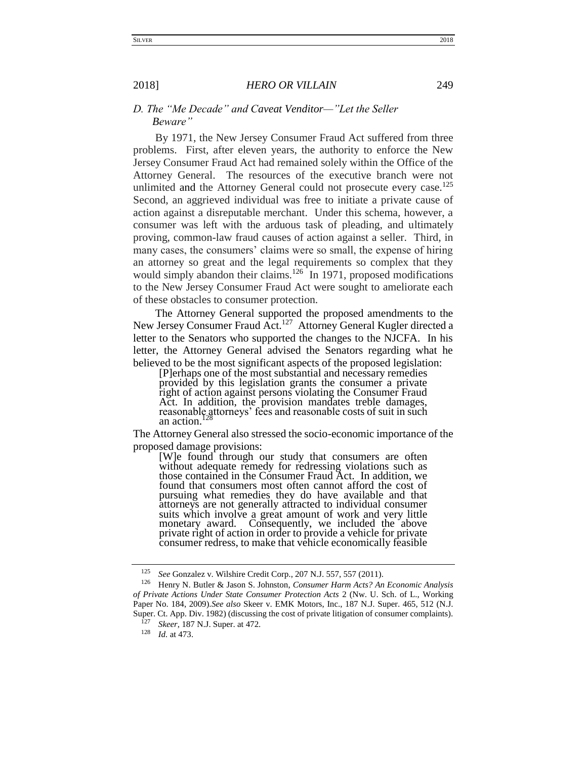# <span id="page-14-0"></span>*D. The "Me Decade" and Caveat Venditor—"Let the Seller Beware"*

By 1971, the New Jersey Consumer Fraud Act suffered from three problems. First, after eleven years, the authority to enforce the New Jersey Consumer Fraud Act had remained solely within the Office of the Attorney General. The resources of the executive branch were not unlimited and the Attorney General could not prosecute every case.<sup>125</sup> Second, an aggrieved individual was free to initiate a private cause of action against a disreputable merchant. Under this schema, however, a consumer was left with the arduous task of pleading, and ultimately proving, common-law fraud causes of action against a seller. Third, in many cases, the consumers' claims were so small, the expense of hiring an attorney so great and the legal requirements so complex that they would simply abandon their claims.<sup>126</sup> In 1971, proposed modifications to the New Jersey Consumer Fraud Act were sought to ameliorate each of these obstacles to consumer protection.

The Attorney General supported the proposed amendments to the New Jersey Consumer Fraud Act.<sup>127</sup> Attorney General Kugler directed a letter to the Senators who supported the changes to the NJCFA. In his letter, the Attorney General advised the Senators regarding what he believed to be the most significant aspects of the proposed legislation:

[P]erhaps one of the most substantial and necessary remedies provided by this legislation grants the consumer a private right of action against persons violating the Consumer Fraud Act. In addition, the provision mandates treble damages, reasonable attorneys' fees and reasonable costs of suit in such an action.

The Attorney General also stressed the socio-economic importance of the proposed damage provisions:

[W]e found through our study that consumers are often without adequate remedy for redressing violations such as those contained in the Consumer Fraud Act. In addition, we found that consumers most often cannot afford the cost of pursuing what remedies they do have available and that attorneys are not generally attracted to individual consumer suits which involve a great amount of work and very little monetary award. Consequently, we included the above private right of action in order to provide a vehicle for private consumer redress, to make that vehicle economically feasible

<sup>125</sup> *See* Gonzalez v. Wilshire Credit Corp., 207 N.J. 557, 557 (2011).

<sup>126</sup> Henry N. Butler & Jason S. Johnston, *Consumer Harm Acts? An Economic Analysis of Private Actions Under State Consumer Protection Acts* 2 (Nw. U. Sch. of L., Working Paper No. 184, 2009).*See also* Skeer v. EMK Motors, Inc., 187 N.J. Super. 465, 512 (N.J. Super. Ct. App. Div. 1982) (discussing the cost of private litigation of consumer complaints).

<sup>127</sup> *Skeer*, 187 N.J. Super. at 472.

<sup>128</sup> *Id.* at 473.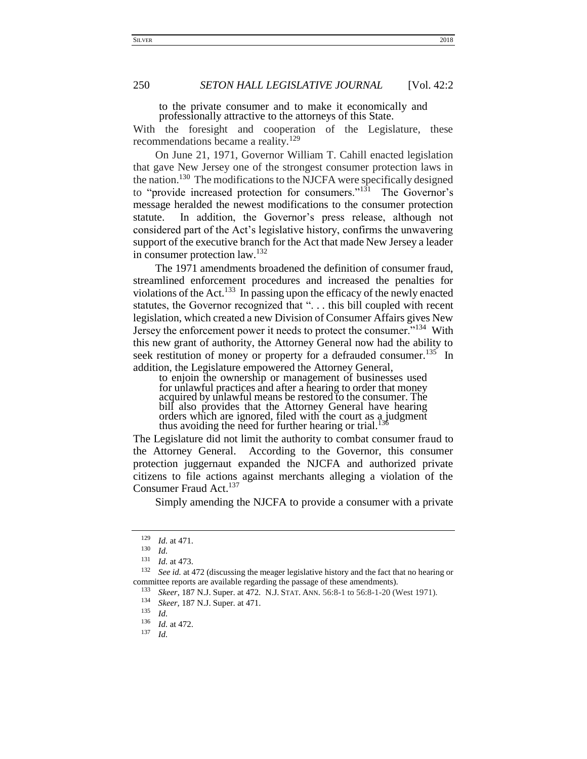to the private consumer and to make it economically and professionally attractive to the attorneys of this State.

With the foresight and cooperation of the Legislature, these recommendations became a reality.<sup>129</sup>

On June 21, 1971, Governor William T. Cahill enacted legislation that gave New Jersey one of the strongest consumer protection laws in the nation.<sup>130</sup> The modifications to the NJCFA were specifically designed to "provide increased protection for consumers."<sup>131</sup> The Governor's message heralded the newest modifications to the consumer protection statute. In addition, the Governor's press release, although not considered part of the Act's legislative history, confirms the unwavering support of the executive branch for the Act that made New Jersey a leader in consumer protection law.<sup>132</sup>

The 1971 amendments broadened the definition of consumer fraud, streamlined enforcement procedures and increased the penalties for violations of the Act.<sup>133</sup> In passing upon the efficacy of the newly enacted statutes, the Governor recognized that "... this bill coupled with recent legislation, which created a new Division of Consumer Affairs gives New Jersey the enforcement power it needs to protect the consumer."<sup>134</sup> With this new grant of authority, the Attorney General now had the ability to seek restitution of money or property for a defrauded consumer.<sup>135</sup> In addition, the Legislature empowered the Attorney General,

to enjoin the ownership or management of businesses used for unlawful practices and after a hearing to order that money acquired by unlawful means be restored to the consumer. The bill also provides that the Attorney General have hearing orders which are ignored, filed with the court as a judgment thus avoiding the need for further hearing or trial.

The Legislature did not limit the authority to combat consumer fraud to the Attorney General. According to the Governor, this consumer protection juggernaut expanded the NJCFA and authorized private citizens to file actions against merchants alleging a violation of the Consumer Fraud Act.<sup>137</sup>

Simply amending the NJCFA to provide a consumer with a private

 $\frac{129}{130}$  *Id.* at 471.

 $\frac{130}{131}$  *Id.* 

*Id.* at 473.

<sup>132</sup> *See id.* at 472 (discussing the meager legislative history and the fact that no hearing or committee reports are available regarding the passage of these amendments).

<sup>133</sup> *Skeer*, 187 N.J. Super. at 472. N.J. STAT. ANN. 56:8-1 to 56:8-1-20 (West 1971).

<sup>&</sup>lt;sup>134</sup> *Skeer*, 187 N.J. Super. at 471.

*Id.* 

 $\frac{136}{137}$  *Id.* at 472.

*Id.*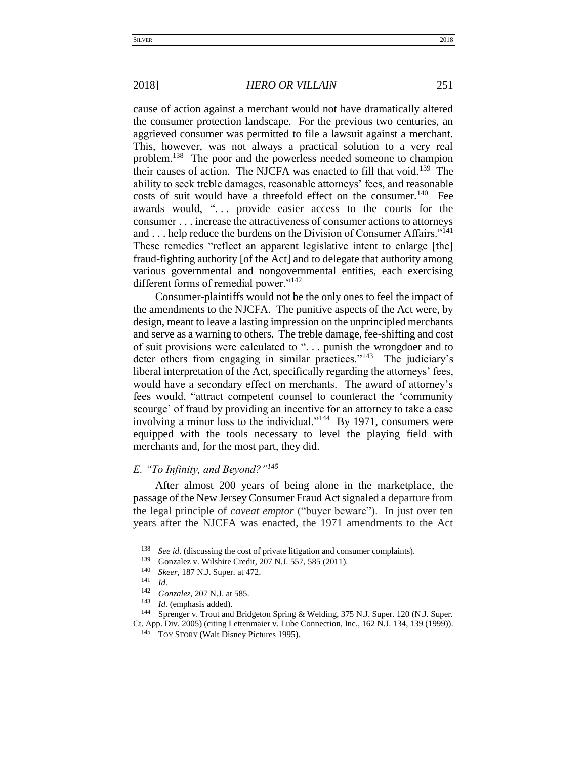cause of action against a merchant would not have dramatically altered the consumer protection landscape. For the previous two centuries, an aggrieved consumer was permitted to file a lawsuit against a merchant. This, however, was not always a practical solution to a very real problem.<sup>138</sup> The poor and the powerless needed someone to champion their causes of action. The NJCFA was enacted to fill that void.<sup>139</sup> The ability to seek treble damages, reasonable attorneys' fees, and reasonable costs of suit would have a threefold effect on the consumer.<sup>140</sup> Fee awards would, "... provide easier access to the courts for the consumer . . . increase the attractiveness of consumer actions to attorneys and . . . help reduce the burdens on the Division of Consumer Affairs."<sup>141</sup> These remedies "reflect an apparent legislative intent to enlarge [the] fraud-fighting authority [of the Act] and to delegate that authority among various governmental and nongovernmental entities, each exercising different forms of remedial power."<sup>142</sup>

Consumer-plaintiffs would not be the only ones to feel the impact of the amendments to the NJCFA. The punitive aspects of the Act were, by design, meant to leave a lasting impression on the unprincipled merchants and serve as a warning to others. The treble damage, fee-shifting and cost of suit provisions were calculated to ". . . punish the wrongdoer and to deter others from engaging in similar practices."<sup>143</sup> The judiciary's liberal interpretation of the Act, specifically regarding the attorneys' fees, would have a secondary effect on merchants. The award of attorney's fees would, "attract competent counsel to counteract the 'community scourge' of fraud by providing an incentive for an attorney to take a case involving a minor loss to the individual."<sup>144</sup> By 1971, consumers were equipped with the tools necessary to level the playing field with merchants and, for the most part, they did.

# <span id="page-16-0"></span>*E. "To Infinity, and Beyond?"<sup>145</sup>*

After almost 200 years of being alone in the marketplace, the passage of the New Jersey Consumer Fraud Act signaled a departure from the legal principle of *caveat emptor* ("buyer beware"). In just over ten years after the NJCFA was enacted, the 1971 amendments to the Act

<sup>&</sup>lt;sup>138</sup> *See id.* (discussing the cost of private litigation and consumer complaints).<br><sup>139</sup> Consolary Wilching Cradit, 207 N.J. 557, 595 (2011).

Gonzalez v. Wilshire Credit, 207 N.J. 557, 585 (2011).

<sup>&</sup>lt;sup>140</sup> *Skeer*, 187 N.J. Super. at 472.

 $\frac{141}{142}$  *Id.* 

<sup>142</sup> *Gonzalez*, 207 N.J. at 585.

<sup>143</sup> *Id.* (emphasis added).

<sup>&</sup>lt;sup>144</sup> Sprenger v. Trout and Bridgeton Spring & Welding, 375 N.J. Super. 120 (N.J. Super. Ct. App. Div. 2005) (citing Lettenmaier v. Lube Connection, Inc., 162 N.J. 134, 139 (1999)).

TOY STORY (Walt Disney Pictures 1995).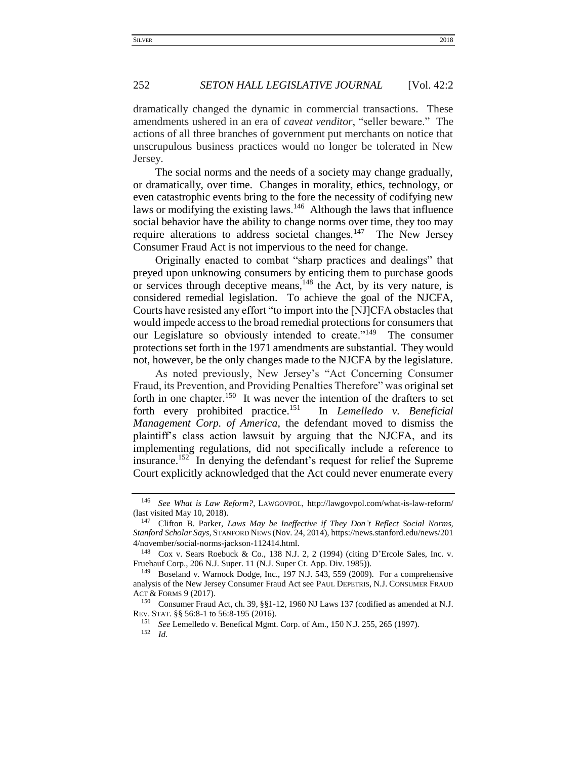dramatically changed the dynamic in commercial transactions. These amendments ushered in an era of *caveat venditor*, "seller beware." The actions of all three branches of government put merchants on notice that unscrupulous business practices would no longer be tolerated in New Jersey.

The social norms and the needs of a society may change gradually, or dramatically, over time. Changes in morality, ethics, technology, or even catastrophic events bring to the fore the necessity of codifying new laws or modifying the existing laws.<sup>146</sup> Although the laws that influence social behavior have the ability to change norms over time, they too may require alterations to address societal changes.<sup>147</sup> The New Jersey Consumer Fraud Act is not impervious to the need for change.

Originally enacted to combat "sharp practices and dealings" that preyed upon unknowing consumers by enticing them to purchase goods or services through deceptive means,  $148$  the Act, by its very nature, is considered remedial legislation. To achieve the goal of the NJCFA, Courts have resisted any effort "to import into the [NJ]CFA obstacles that would impede access to the broad remedial protections for consumers that our Legislature so obviously intended to create."<sup>149</sup> The consumer protections set forth in the 1971 amendments are substantial. They would not, however, be the only changes made to the NJCFA by the legislature.

As noted previously, New Jersey's "Act Concerning Consumer Fraud, its Prevention, and Providing Penalties Therefore" was original set forth in one chapter.<sup>150</sup> It was never the intention of the drafters to set forth every prohibited practice.<sup>151</sup> In *Lemelledo v. Beneficial Management Corp. of America*, the defendant moved to dismiss the plaintiff's class action lawsuit by arguing that the NJCFA, and its implementing regulations, did not specifically include a reference to insurance.<sup>152</sup> In denying the defendant's request for relief the Supreme Court explicitly acknowledged that the Act could never enumerate every

<sup>151</sup> *See* Lemelledo v. Benefical Mgmt. Corp. of Am., 150 N.J. 255, 265 (1997).

<sup>146</sup> *See What is Law Reform?*, LAWGOVPOL, http://lawgovpol.com/what-is-law-reform/ (last visited May 10, 2018).

<sup>147</sup> Clifton B. Parker, *Laws May be Ineffective if They Don't Reflect Social Norms, Stanford Scholar Says*, STANFORD NEWS (Nov. 24, 2014), https://news.stanford.edu/news/201 4/november/social-norms-jackson-112414.html.

<sup>148</sup> Cox v. Sears Roebuck & Co., 138 N.J. 2, 2 (1994) (citing D'Ercole Sales, Inc. v. Fruehauf Corp., 206 N.J. Super. 11 (N.J. Super Ct. App. Div. 1985)).

<sup>149</sup> Boseland v. Warnock Dodge, Inc., 197 N.J. 543, 559 (2009). For a comprehensive analysis of the New Jersey Consumer Fraud Act see PAUL DEPETRIS, N.J. CONSUMER FRAUD ACT & FORMS 9 (2017).

<sup>150</sup> Consumer Fraud Act, ch. 39, §§1-12, 1960 NJ Laws 137 (codified as amended at N.J. REV. STAT. §§ 56:8-1 to 56:8-195 (2016).

<sup>152</sup> *Id.*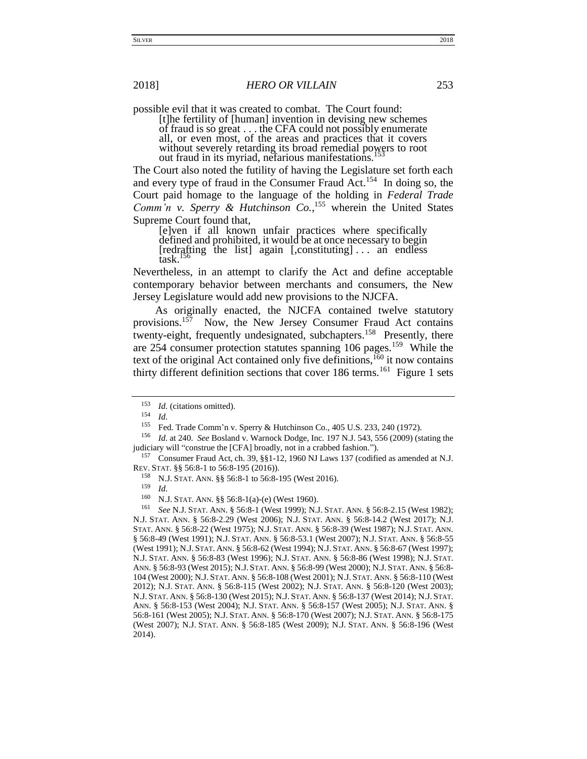possible evil that it was created to combat. The Court found:

[t]he fertility of [human] invention in devising new schemes of fraud is so great . . . the CFA could not possibly enumerate all, or even most, of the areas and practices that it covers without severely retarding its broad remedial powers to root out fraud in its myriad, nefarious manifestations.

The Court also noted the futility of having the Legislature set forth each and every type of fraud in the Consumer Fraud Act.<sup>154</sup> In doing so, the Court paid homage to the language of the holding in *Federal Trade Comm'n v. Sperry & Hutchinson Co.*, <sup>155</sup> wherein the United States Supreme Court found that,

[e]ven if all known unfair practices where specifically defined and prohibited, it would be at once necessary to begin [redrafting the list] again [,constituting] . . . an endless task.

Nevertheless, in an attempt to clarify the Act and define acceptable contemporary behavior between merchants and consumers, the New Jersey Legislature would add new provisions to the NJCFA.

As originally enacted, the NJCFA contained twelve statutory provisions.<sup>157</sup> Now, the New Jersey Consumer Fraud Act contains twenty-eight, frequently undesignated, subchapters.<sup>158</sup> Presently, there are 254 consumer protection statutes spanning 106 pages.<sup>159</sup> While the text of the original Act contained only five definitions,<sup>160</sup> it now contains thirty different definition sections that cover  $186$  terms.<sup>161</sup> Figure 1 sets

<sup>161</sup> *See* N.J. STAT. ANN. § 56:8-1 (West 1999); N.J. STAT. ANN. § 56:8-2.15 (West 1982); N.J. STAT. ANN. § 56:8-2.29 (West 2006); N.J. STAT. ANN. § 56:8-14.2 (West 2017); N.J. STAT. ANN. § 56:8-22 (West 1975); N.J. STAT. ANN. § 56:8-39 (West 1987); N.J. STAT. ANN. § 56:8-49 (West 1991); N.J. STAT. ANN. § 56:8-53.1 (West 2007); N.J. STAT. ANN. § 56:8-55 (West 1991); N.J. STAT. ANN. § 56:8-62 (West 1994); N.J. STAT. ANN. § 56:8-67 (West 1997); N.J. STAT. ANN. § 56:8-83 (West 1996); N.J. STAT. ANN. § 56:8-86 (West 1998); N.J. STAT. ANN. § 56:8-93 (West 2015); N.J. STAT. ANN. § 56:8-99 (West 2000); N.J. STAT. ANN. § 56:8- 104 (West 2000); N.J. STAT. ANN. § 56:8-108 (West 2001); N.J. STAT. ANN. § 56:8-110 (West 2012); N.J. STAT. ANN. § 56:8-115 (West 2002); N.J. STAT. ANN. § 56:8-120 (West 2003); N.J. STAT. ANN. § 56:8-130 (West 2015); N.J. STAT. ANN. § 56:8-137 (West 2014); N.J. STAT. ANN. § 56:8-153 (West 2004); N.J. STAT. ANN. § 56:8-157 (West 2005); N.J. STAT. ANN. § 56:8-161 (West 2005); N.J. STAT. ANN. § 56:8-170 (West 2007); N.J. STAT. ANN. § 56:8-175 (West 2007); N.J. STAT. ANN. § 56:8-185 (West 2009); N.J. STAT. ANN. § 56:8-196 (West 2014).

 $153$  *Id.* (citations omitted).

 $\frac{154}{155}$  *Id.* 

<sup>&</sup>lt;sup>155</sup> Fed. Trade Comm'n v. Sperry & Hutchinson Co., 405 U.S. 233, 240 (1972).<br><sup>156</sup> Id. at 240. See Bosland v. Warnack Dadas, Inc. 107 N.J. 542, 556 (2000) (at

<sup>156</sup> *Id.* at 240*. See* Bosland v. Warnock Dodge, Inc*.* 197 N.J. 543, 556 (2009) (stating the judiciary will "construe the [CFA] broadly, not in a crabbed fashion.").

<sup>157</sup> Consumer Fraud Act, ch. 39, §§1-12, 1960 NJ Laws 137 (codified as amended at N.J. REV. STAT. §§ 56:8-1 to 56:8-195 (2016)).

<sup>158</sup> N.J. STAT. ANN. §§ 56:8-1 to 56:8-195 (West 2016).

 $\frac{159}{160}$  *Id.* 

N.J. STAT. ANN. §§ 56:8-1(a)-(e) (West 1960).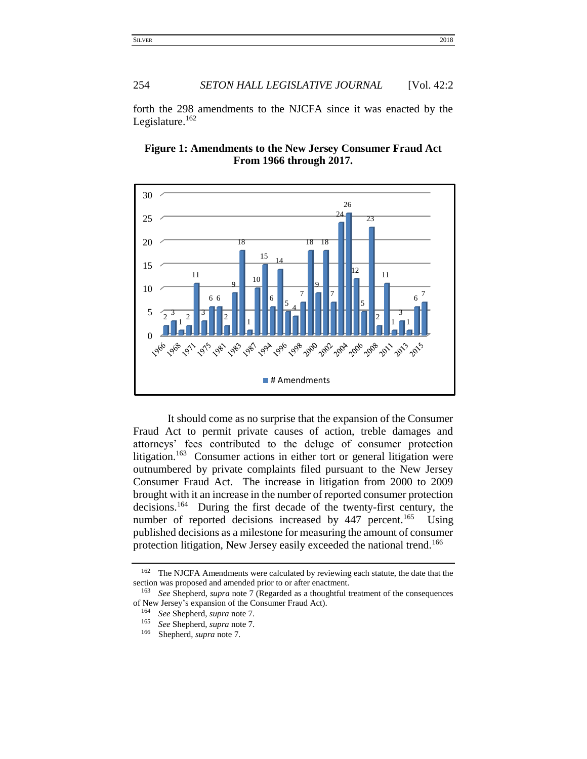forth the 298 amendments to the NJCFA since it was enacted by the Legislature.



**Figure 1: Amendments to the New Jersey Consumer Fraud Act From 1966 through 2017.**

It should come as no surprise that the expansion of the Consumer Fraud Act to permit private causes of action, treble damages and attorneys' fees contributed to the deluge of consumer protection litigation.<sup>163</sup> Consumer actions in either tort or general litigation were outnumbered by private complaints filed pursuant to the New Jersey Consumer Fraud Act. The increase in litigation from 2000 to 2009 brought with it an increase in the number of reported consumer protection decisions.<sup>164</sup> During the first decade of the twenty-first century, the number of reported decisions increased by 447 percent.<sup>165</sup> Using published decisions as a milestone for measuring the amount of consumer protection litigation, New Jersey easily exceeded the national trend.<sup>166</sup>

<sup>&</sup>lt;sup>162</sup> The NJCFA Amendments were calculated by reviewing each statute, the date that the section was proposed and amended prior to or after enactment.

 *See* Shepherd, *supra* note 7 (Regarded as a thoughtful treatment of the consequences of New Jersey's expansion of the Consumer Fraud Act).

*See* Shepherd, *supra* note 7.

<sup>&</sup>lt;sup>165</sup> *See* Shepherd, *supra* note 7.<br><sup>166</sup> Shepherd, *supra* pote 7.

Shepherd, *supra* note 7.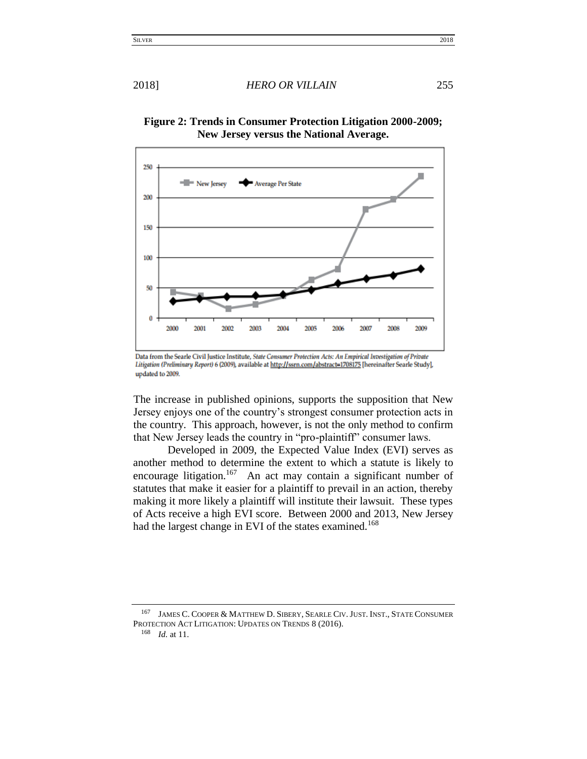2018] *HERO OR VILLAIN* 255



**Figure 2: Trends in Consumer Protection Litigation 2000-2009; New Jersey versus the National Average.**

The increase in published opinions, supports the supposition that New Jersey enjoys one of the country's strongest consumer protection acts in the country. This approach, however, is not the only method to confirm that New Jersey leads the country in "pro-plaintiff" consumer laws.

Developed in 2009, the Expected Value Index (EVI) serves as another method to determine the extent to which a statute is likely to encourage litigation.<sup>167</sup> An act may contain a significant number of statutes that make it easier for a plaintiff to prevail in an action, thereby making it more likely a plaintiff will institute their lawsuit. These types of Acts receive a high EVI score. Between 2000 and 2013, New Jersey had the largest change in EVI of the states examined.<sup>168</sup>

<sup>167</sup> JAMES C. COOPER & MATTHEW D. SIBERY, SEARLE CIV. JUST. INST., STATE CONSUMER PROTECTION ACT LITIGATION: UPDATES ON TRENDS 8 (2016).

Data from the Searle Civil Justice Institute, State Consumer Protection Acts: An Empirical Investigation of Private Litigation (Preliminary Report) 6 (2009), available at http://ssrn.com/abstract=1708175 [hereinafter Searle Study], updated to 2009.

<sup>168</sup> *Id.* at 11.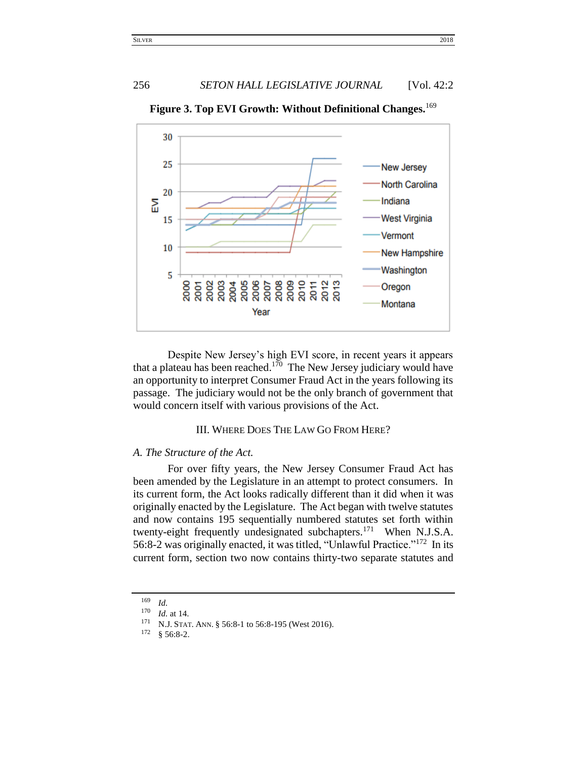# 256 *SETON HALL LEGISLATIVE JOURNAL* [Vol. 42:2]



**Figure 3. Top EVI Growth: Without Definitional Changes.**<sup>169</sup>

Despite New Jersey's high EVI score, in recent years it appears that a plateau has been reached.<sup>170</sup> The New Jersey judiciary would have an opportunity to interpret Consumer Fraud Act in the years following its passage. The judiciary would not be the only branch of government that would concern itself with various provisions of the Act.

# III. WHERE DOES THE LAW GO FROM HERE?

## <span id="page-21-1"></span><span id="page-21-0"></span>*A. The Structure of the Act.*

For over fifty years, the New Jersey Consumer Fraud Act has been amended by the Legislature in an attempt to protect consumers. In its current form, the Act looks radically different than it did when it was originally enacted by the Legislature. The Act began with twelve statutes and now contains 195 sequentially numbered statutes set forth within twenty-eight frequently undesignated subchapters.<sup>171</sup> When N.J.S.A. 56:8-2 was originally enacted, it was titled, "Unlawful Practice."<sup>172</sup> In its current form, section two now contains thirty-two separate statutes and

 $\frac{169}{170}$  *Id.* 

 $\frac{170}{171}$  *Id.* at 14. <sup>171</sup> N.J. STAT. ANN. § 56:8-1 to 56:8-195 (West 2016).<br><sup>172</sup> 8 56:9.2

 $§ 56:8-2.$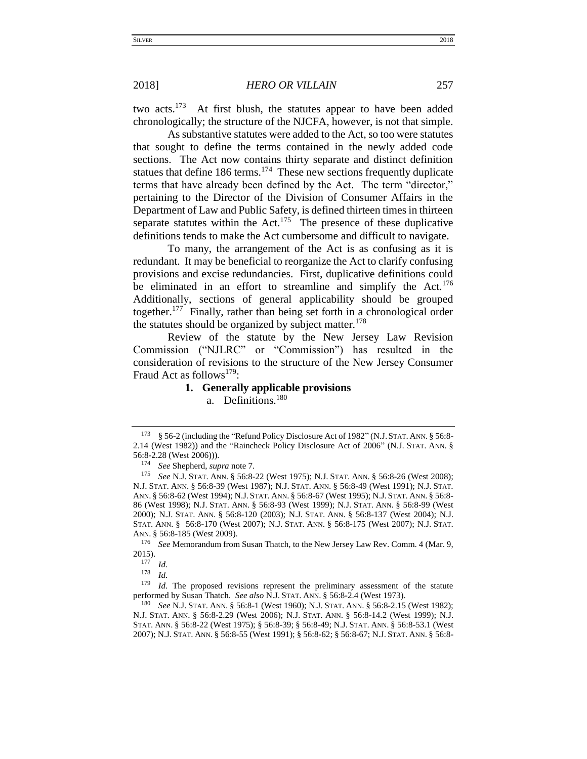two acts.<sup>173</sup> At first blush, the statutes appear to have been added chronologically; the structure of the NJCFA, however, is not that simple.

As substantive statutes were added to the Act, so too were statutes that sought to define the terms contained in the newly added code sections. The Act now contains thirty separate and distinct definition statues that define  $186$  terms.<sup>174</sup> These new sections frequently duplicate terms that have already been defined by the Act. The term "director," pertaining to the Director of the Division of Consumer Affairs in the Department of Law and Public Safety, is defined thirteen times in thirteen separate statutes within the Act.<sup>175</sup> The presence of these duplicative definitions tends to make the Act cumbersome and difficult to navigate.

To many, the arrangement of the Act is as confusing as it is redundant. It may be beneficial to reorganize the Act to clarify confusing provisions and excise redundancies. First, duplicative definitions could be eliminated in an effort to streamline and simplify the Act.<sup>176</sup> Additionally, sections of general applicability should be grouped together.<sup>177</sup> Finally, rather than being set forth in a chronological order the statutes should be organized by subject matter.<sup>178</sup>

Review of the statute by the New Jersey Law Revision Commission ("NJLRC" or "Commission") has resulted in the consideration of revisions to the structure of the New Jersey Consumer Fraud Act as follows<sup>179</sup>:

# **1. Generally applicable provisions**

a. Definitions.<sup>180</sup>

<sup>176</sup> *See* Memorandum from Susan Thatch, to the New Jersey Law Rev. Comm. 4 (Mar. 9,  $2015$ ).

 $\frac{178}{179}$  *Id.* 

*Id.* The proposed revisions represent the preliminary assessment of the statute performed by Susan Thatch. *See also* N.J. STAT. ANN. § 56:8-2.4 (West 1973).

<sup>180</sup> *See* N.J. STAT. ANN. § 56:8-1 (West 1960); N.J. STAT. ANN. § 56:8-2.15 (West 1982); N.J. STAT. ANN. § 56:8-2.29 (West 2006); N.J. STAT. ANN. § 56:8-14.2 (West 1999); N.J. STAT. ANN. § 56:8-22 (West 1975); § 56:8-39; § 56:8-49; N.J. STAT. ANN. § 56:8-53.1 (West 2007); N.J. STAT. ANN. § 56:8-55 (West 1991); § 56:8-62; § 56:8-67; N.J. STAT. ANN. § 56:8-

<sup>173</sup> § 56-2 (including the "Refund Policy Disclosure Act of 1982" (N.J.STAT. ANN. § 56:8- 2.14 (West 1982)) and the "Raincheck Policy Disclosure Act of 2006" (N.J. STAT. ANN. § 56:8-2.28 (West 2006))).

<sup>&</sup>lt;sup>174</sup> *See* Shepherd, *supra* note 7.<br><sup>175</sup> *See* NJ *STAT* ANM 8.56.9

<sup>175</sup> *See* N.J. STAT. ANN. § 56:8-22 (West 1975); N.J. STAT. ANN. § 56:8-26 (West 2008); N.J. STAT. ANN. § 56:8-39 (West 1987); N.J. STAT. ANN. § 56:8-49 (West 1991); N.J. STAT. ANN. § 56:8-62 (West 1994); N.J. STAT. ANN. § 56:8-67 (West 1995); N.J. STAT. ANN. § 56:8- 86 (West 1998); N.J. STAT. ANN. § 56:8-93 (West 1999); N.J. STAT. ANN. § 56:8-99 (West 2000); N.J. STAT. ANN. § 56:8-120 (2003); N.J. STAT. ANN. § 56:8-137 (West 2004); N.J. STAT. ANN. § 56:8-170 (West 2007); N.J. STAT. ANN. § 56:8-175 (West 2007); N.J. STAT. ANN. § 56:8-185 (West 2009).

 $\frac{177}{178}$  *Id.*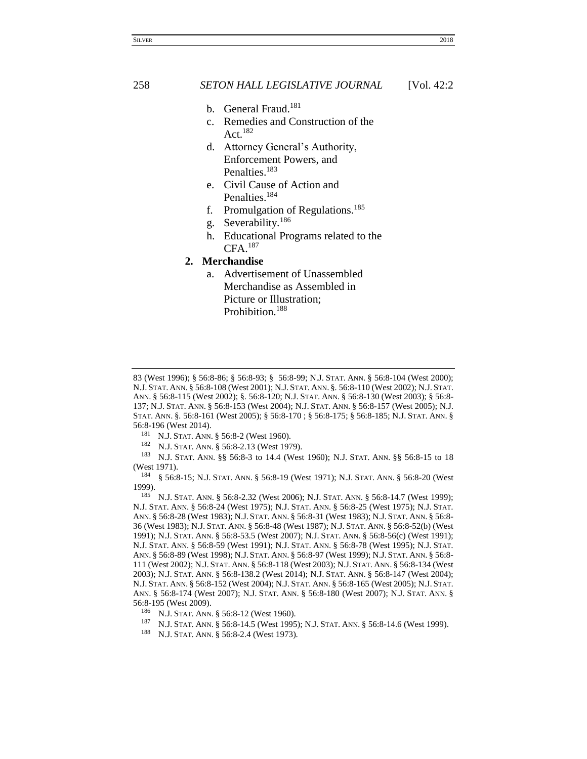## 258 *SETON HALL LEGISLATIVE JOURNAL* [Vol. 42:2

- b. General Fraud.<sup>181</sup>
- c. Remedies and Construction of the Act. 182
- d. Attorney General's Authority, Enforcement Powers, and Penalties.<sup>183</sup>
- e. Civil Cause of Action and Penalties.<sup>184</sup>
- f. Promulgation of Regulations.<sup>185</sup>
- g. Severability.<sup>186</sup>
- h. Educational Programs related to the CFA. 187
- **2. Merchandise**
	- a. Advertisement of Unassembled Merchandise as Assembled in Picture or Illustration; Prohibition.<sup>188</sup>

- <sup>181</sup> N.J. STAT. ANN. § 56:8-2 (West 1960).<br><sup>182</sup> N.J. STAT. ANN. § 56:8-2 13 (West 197
- N.J. STAT. ANN. § 56:8-2.13 (West 1979).

<sup>183</sup> N.J. STAT. ANN. §§ 56:8-3 to 14.4 (West 1960); N.J. STAT. ANN. §§ 56:8-15 to 18 (West 1971).

<sup>184</sup> § 56:8-15; N.J. STAT. ANN. § 56:8-19 (West 1971); N.J. STAT. ANN. § 56:8-20 (West 1999).

<sup>185</sup> N.J. STAT. ANN. § 56:8-2.32 (West 2006); N.J. STAT. ANN. § 56:8-14.7 (West 1999); N.J. STAT. ANN. § 56:8-24 (West 1975); N.J. STAT. ANN. § 56:8-25 (West 1975); N.J. STAT. ANN. § 56:8-28 (West 1983); N.J. STAT. ANN. § 56:8-31 (West 1983); N.J. STAT. ANN. § 56:8- 36 (West 1983); N.J. STAT. ANN. § 56:8-48 (West 1987); N.J. STAT. ANN. § 56:8-52(b) (West 1991); N.J. STAT. ANN. § 56:8-53.5 (West 2007); N.J. STAT. ANN. § 56:8-56(c) (West 1991); N.J. STAT. ANN. § 56:8-59 (West 1991); N.J. STAT. ANN. § 56:8-78 (West 1995); N.J. STAT. ANN. § 56:8-89 (West 1998); N.J. STAT. ANN. § 56:8-97 (West 1999); N.J. STAT. ANN. § 56:8- 111 (West 2002); N.J. STAT. ANN. § 56:8-118 (West 2003); N.J. STAT. ANN. § 56:8-134 (West 2003); N.J. STAT. ANN. § 56:8-138.2 (West 2014); N.J. STAT. ANN. § 56:8-147 (West 2004); N.J. STAT. ANN. § 56:8-152 (West 2004); N.J. STAT. ANN. § 56:8-165 (West 2005); N.J. STAT. ANN. § 56:8-174 (West 2007); N.J. STAT. ANN. § 56:8-180 (West 2007); N.J. STAT. ANN. § 56:8-195 (West 2009).

- <sup>186</sup> N.J. STAT. ANN. § 56:8-12 (West 1960).
- <sup>187</sup> N.J. STAT. ANN. § 56:8-14.5 (West 1995); N.J. STAT. ANN. § 56:8-14.6 (West 1999).
- N.J. STAT. ANN. § 56:8-2.4 (West 1973).

<sup>83 (</sup>West 1996); § 56:8-86; § 56:8-93; § 56:8-99; N.J. STAT. ANN. § 56:8-104 (West 2000); N.J. STAT. ANN. § 56:8-108 (West 2001); N.J. STAT. ANN. §*.* 56:8-110 (West 2002); N.J. STAT. ANN. § 56:8-115 (West 2002); §*.* 56:8-120; N.J. STAT. ANN. § 56:8-130 (West 2003); § 56:8- 137; N.J. STAT. ANN. § 56:8-153 (West 2004); N.J. STAT. ANN. § 56:8-157 (West 2005); N.J. STAT. ANN. §*.* 56:8-161 (West 2005); § 56:8-170 ; § 56:8-175; § 56:8-185; N.J. STAT. ANN. § 56:8-196 (West 2014).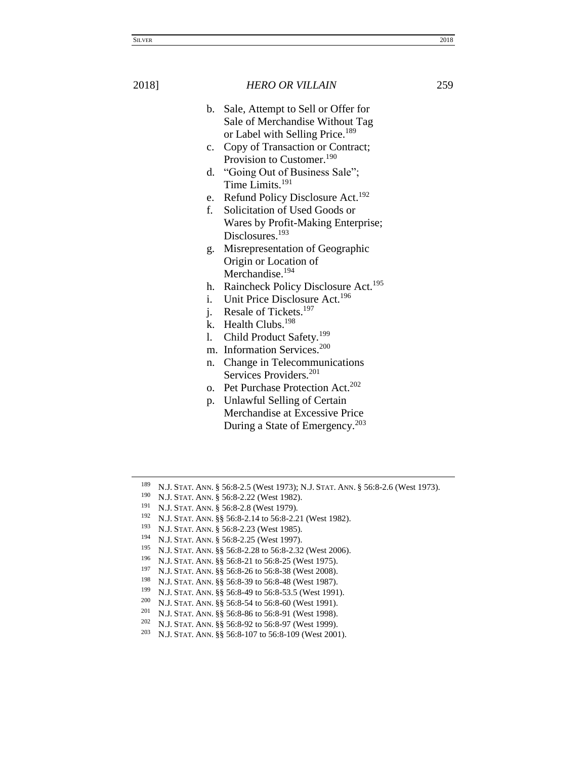b. Sale, Attempt to Sell or Offer for Sale of Merchandise Without Tag or Label with Selling Price.<sup>189</sup>

- c. Copy of Transaction or Contract; Provision to Customer.<sup>190</sup>
- d. "Going Out of Business Sale"; Time Limits.<sup>191</sup>
- e. Refund Policy Disclosure Act.<sup>192</sup>
- f. Solicitation of Used Goods or Wares by Profit-Making Enterprise; Disclosures.<sup>193</sup>
- g. Misrepresentation of Geographic Origin or Location of Merchandise.<sup>194</sup>
- h. Raincheck Policy Disclosure Act.<sup>195</sup>
- i. Unit Price Disclosure Act.<sup>196</sup>
- j. Resale of Tickets. $197$
- k. Health Clubs.<sup>198</sup>
- l. Child Product Safety.<sup>199</sup>
- m. Information Services.<sup>200</sup>
- n. Change in Telecommunications Services Providers.<sup>201</sup>
- o. Pet Purchase Protection Act.<sup>202</sup>
- p. Unlawful Selling of Certain Merchandise at Excessive Price During a State of Emergency.<sup>203</sup>

- N.J. STAT. ANN. §§ 56:8-39 to 56:8-48 (West 1987).
- 199 N.J. STAT. ANN.  $\S$ § 56:8-49 to 56:8-53.5 (West 1991).<br>200 N.J. STAT. ANN. 88.56:8.54 to 56:8.60 (West 1991).
- <sup>200</sup> N.J. STAT. ANN. §§ 56:8-54 to 56:8-60 (West 1991).<br><sup>201</sup> N J. STAT. ANN. §§ 56:8-86 to 56:8-91 (West 1998). N.J. STAT. ANN. §§ 56:8-86 to 56:8-91 (West 1998).
- 
- 202 N.J. STAT. ANN. §§ 56:8-92 to 56:8-97 (West 1999).<br>203 N.J. Stat. ANN. §§ 56:8-107 to 56:8-109 (West 200 <sup>203</sup> N.J. STAT. ANN. §§ 56:8-107 to 56:8-109 (West 2001).

<sup>&</sup>lt;sup>189</sup> N.J. STAT. ANN. § 56:8-2.5 (West 1973); N.J. STAT. ANN. § 56:8-2.6 (West 1973).<br><sup>190</sup> N.J. STAT. ANN. § 56:8-2.22 (West 1982).

<sup>&</sup>lt;sup>190</sup> N.J. STAT. ANN. § 56:8-2.22 (West 1982).<br><sup>191</sup> N.J. STAT. ANN. § 56:9.2.8 (West 1970).

<sup>&</sup>lt;sup>191</sup> N.J. STAT. ANN. § 56:8-2.8 (West 1979).<br><sup>192</sup> N.J. STAT. ANN. §§ 56:8-2.14 to 56:8-2.2

N.J. STAT. ANN. §§ 56:8-2.14 to 56:8-2.21 (West 1982).

<sup>&</sup>lt;sup>193</sup> N.J. STAT. ANN. § 56:8-2.23 (West 1985).

<sup>&</sup>lt;sup>194</sup> N.J. STAT. ANN. § 56:8-2.25 (West 1997).<br><sup>195</sup> N.J. STAT. ANN. <sup>8.8</sup> 56:8.2.23 to 56:8.2.232

N.J. STAT. ANN. §§ 56:8-2.28 to 56:8-2.32 (West 2006).

<sup>196</sup> N.J. STAT. ANN. §§ 56:8-21 to 56:8-25 (West 1975).<br>197 N.J. STAT. ANN. §§ 56:9, 26 to 56:9, 28 (Wast 2008).

<sup>&</sup>lt;sup>197</sup> N.J. STAT. ANN. §§ 56:8-26 to 56:8-38 (West 2008).<br><sup>198</sup> N J STAT, ANN. §§ 56:8-39 to 56:8-48 (West 1987).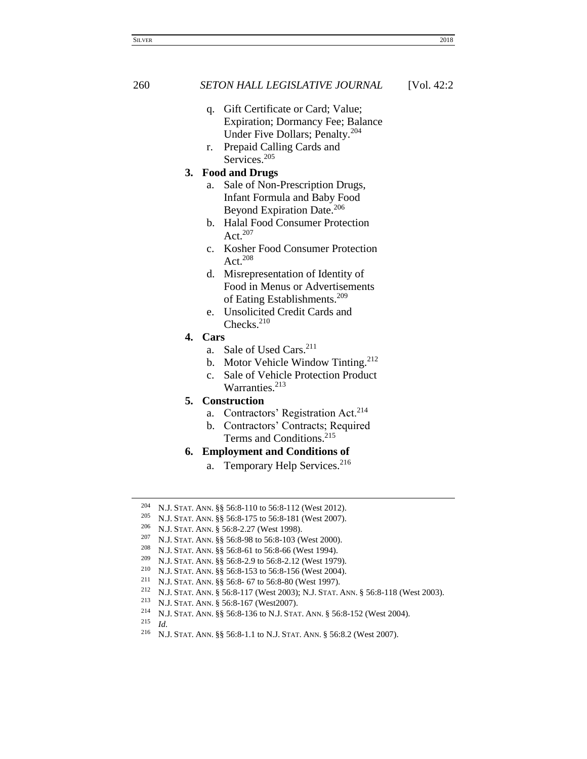## 260 *SETON HALL LEGISLATIVE JOURNAL* [Vol. 42:2

- q. Gift Certificate or Card; Value; Expiration; Dormancy Fee; Balance Under Five Dollars; Penalty.<sup>204</sup>
- r. Prepaid Calling Cards and Services.<sup>205</sup>

## **3. Food and Drugs**

- a. Sale of Non-Prescription Drugs, Infant Formula and Baby Food Beyond Expiration Date.<sup>206</sup>
- b. Halal Food Consumer Protection Act.<sup>207</sup>
- c. Kosher Food Consumer Protection Act.<sup>208</sup>
- d. Misrepresentation of Identity of Food in Menus or Advertisements of Eating Establishments.<sup>209</sup>
- e. Unsolicited Credit Cards and Checks<sup>210</sup>
- **4. Cars**
	- a. Sale of Used Cars. 211
	- b. Motor Vehicle Window Tinting.<sup>212</sup>
	- c. Sale of Vehicle Protection Product Warranties.<sup>213</sup>

# **5. Construction**

- a. Contractors' Registration Act.<sup>214</sup>
- b. Contractors' Contracts; Required Terms and Conditions.<sup>215</sup>
- **6. Employment and Conditions of**
	- a. Temporary Help Services.<sup>216</sup>

<sup>205</sup> N.J. STAT. ANN. §§ 56:8-175 to 56:8-181 (West 2007).

<sup>204</sup> N.J. STAT. ANN. §§ 56:8-110 to 56:8-112 (West 2012).

<sup>&</sup>lt;sup>206</sup> N.J. STAT. ANN. § 56:8-2.27 (West 1998).

N.J. STAT. ANN. §§ 56:8-98 to 56:8-103 (West 2000).

<sup>208</sup> N.J. STAT. ANN. §§ 56:8-61 to 56:8-66 (West 1994).

<sup>209</sup> N.J. STAT. ANN. §§ 56:8-2.9 to 56:8-2.12 (West 1979).

<sup>&</sup>lt;sup>210</sup> N.J. STAT. ANN. §§ 56:8-153 to 56:8-156 (West 2004).<br><sup>211</sup> N.J. STAT. ANN. §§ 56:8-67 to 56:8-80 (West 1997).

N.J. STAT. ANN. §§ 56:8- 67 to 56:8-80 (West 1997).

<sup>&</sup>lt;sup>212</sup> N.J. STAT. ANN. § 56:8-117 (West 2003); N.J. STAT. ANN. § 56:8-118 (West 2003).<br><sup>213</sup> N.J. STAT. ANN. § 56:8-167 (West2007).

N.J. STAT. ANN. § 56:8-167 (West2007).

<sup>214</sup> N.J. STAT. ANN. §§ 56:8-136 to N.J. STAT. ANN. § 56:8-152 (West 2004).

 $\frac{215}{216}$  *Id.*<br> $\frac{1}{N}$ 

<sup>216</sup> N.J. STAT. ANN. §§ 56:8-1.1 to N.J. STAT. ANN. § 56:8.2 (West 2007).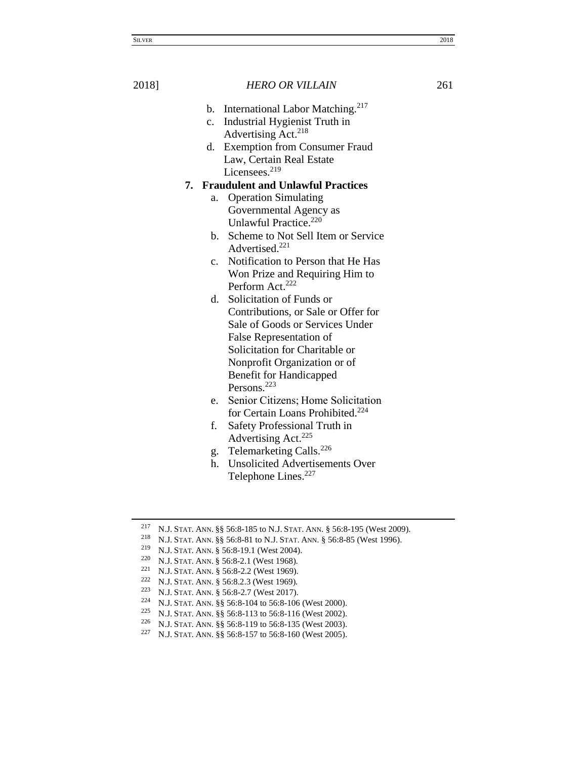- b. International Labor Matching.<sup>217</sup>
- c. Industrial Hygienist Truth in Advertising Act. 218
- d. Exemption from Consumer Fraud Law, Certain Real Estate Licensees.<sup>219</sup>

## **7. Fraudulent and Unlawful Practices**

- a. Operation Simulating Governmental Agency as Unlawful Practice.<sup>220</sup>
- b. Scheme to Not Sell Item or Service Advertised.<sup>221</sup>
- c. Notification to Person that He Has Won Prize and Requiring Him to Perform Act.<sup>222</sup>
- d. Solicitation of Funds or Contributions, or Sale or Offer for Sale of Goods or Services Under False Representation of Solicitation for Charitable or Nonprofit Organization or of Benefit for Handicapped Persons.<sup>223</sup>
- e. Senior Citizens; Home Solicitation for Certain Loans Prohibited.<sup>224</sup>
- f. Safety Professional Truth in Advertising Act.<sup>225</sup>
- g. Telemarketing Calls.<sup>226</sup>
- h. Unsolicited Advertisements Over Telephone Lines.<sup>227</sup>

<sup>217</sup> N.J. STAT. ANN. §§ 56:8-185 to N.J. STAT. ANN. § 56:8-195 (West 2009).

<sup>218</sup> N.J. STAT. ANN. §§ 56:8-81 to N.J. STAT. ANN. § 56:8-85 (West 1996).

<sup>219</sup> N.J. STAT. ANN. § 56:8-19.1 (West 2004).

<sup>220</sup> N.J. STAT. ANN. § 56:8-2.1 (West 1968).

<sup>221</sup> N.J. STAT. ANN. § 56:8-2.2 (West 1969).

<sup>222</sup> N.J. STAT. ANN. § 56:8.2.3 (West 1969).

<sup>&</sup>lt;sup>223</sup> N.J. STAT. ANN. § 56:8-2.7 (West 2017).

<sup>224</sup> N.J. STAT. ANN. §§ 56:8-104 to 56:8-106 (West 2000).<br>225 N.J. STAT. ANN. §§ 56:8-113 to 56:8-116 (West 2002).

<sup>225</sup> N.J. STAT. ANN. §§ 56:8-113 to 56:8-116 (West 2002).

<sup>226</sup> N.J. STAT. ANN. §§ 56:8-119 to 56:8-135 (West 2003).<br>227 N.J. STAT. ANN. §§ 56:8-157 to 56:8-160 (West 2005).

N.J. STAT. ANN. §§ 56:8-157 to 56:8-160 (West 2005).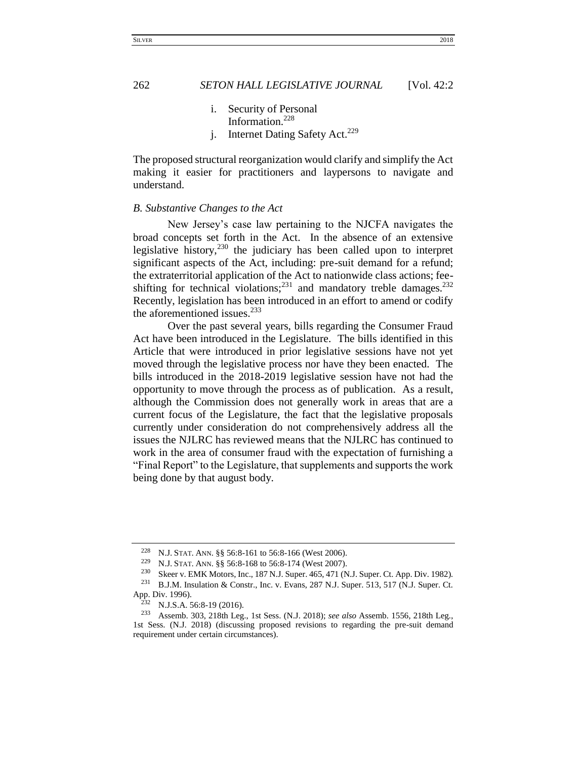- i. Security of Personal Information.<sup>228</sup>
- j. Internet Dating Safety Act.<sup>229</sup>

The proposed structural reorganization would clarify and simplify the Act making it easier for practitioners and laypersons to navigate and understand.

### <span id="page-27-0"></span>*B. Substantive Changes to the Act*

New Jersey's case law pertaining to the NJCFA navigates the broad concepts set forth in the Act. In the absence of an extensive legislative history,  $230$  the judiciary has been called upon to interpret significant aspects of the Act, including: pre-suit demand for a refund; the extraterritorial application of the Act to nationwide class actions; feeshifting for technical violations;<sup>231</sup> and mandatory treble damages.<sup>232</sup> Recently, legislation has been introduced in an effort to amend or codify the aforementioned issues. $233$ 

Over the past several years, bills regarding the Consumer Fraud Act have been introduced in the Legislature. The bills identified in this Article that were introduced in prior legislative sessions have not yet moved through the legislative process nor have they been enacted. The bills introduced in the 2018-2019 legislative session have not had the opportunity to move through the process as of publication. As a result, although the Commission does not generally work in areas that are a current focus of the Legislature, the fact that the legislative proposals currently under consideration do not comprehensively address all the issues the NJLRC has reviewed means that the NJLRC has continued to work in the area of consumer fraud with the expectation of furnishing a "Final Report" to the Legislature, that supplements and supports the work being done by that august body.

<sup>228</sup> N.J. STAT. ANN. §§ 56:8-161 to 56:8-166 (West 2006).

<sup>229</sup> N.J. STAT. ANN. §§ 56:8-168 to 56:8-174 (West 2007).

<sup>&</sup>lt;sup>230</sup> Skeer v. EMK Motors, Inc., 187 N.J. Super. 465, 471 (N.J. Super. Ct. App. Div. 1982).<br><sup>231</sup> B J M, Inculation & Constr. Inc. y. Evans. 287 N.J. Super. 513, 517 (N.J. Super. Ct.

<sup>231</sup> B.J.M. Insulation & Constr., Inc. v. Evans, 287 N.J. Super. 513, 517 (N.J. Super. Ct. App. Div. 1996).<br> $^{232}$  N I S A

<sup>&</sup>lt;sup>232</sup> N.J.S.A. 56:8-19 (2016).<br><sup>233</sup> Assemb 303 218th Leg

<sup>233</sup> Assemb. 303, 218th Leg., 1st Sess. (N.J. 2018); *see also* Assemb. 1556, 218th Leg., 1st Sess. (N.J. 2018) (discussing proposed revisions to regarding the pre-suit demand requirement under certain circumstances).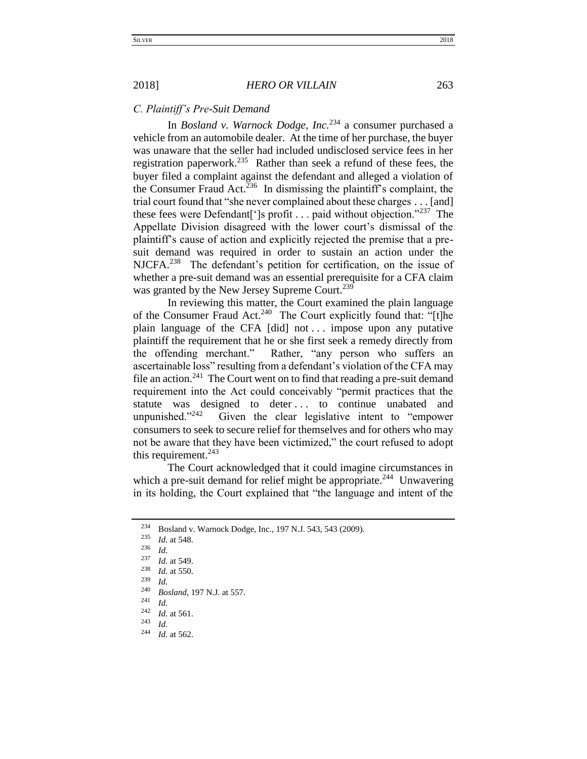## <span id="page-28-0"></span>*C. Plaintiff's Pre-Suit Demand*

In *Bosland v. Warnock Dodge, Inc.*<sup>234</sup> a consumer purchased a vehicle from an automobile dealer. At the time of her purchase, the buyer was unaware that the seller had included undisclosed service fees in her registration paperwork.<sup>235</sup> Rather than seek a refund of these fees, the buyer filed a complaint against the defendant and alleged a violation of the Consumer Fraud Act.<sup>236</sup> In dismissing the plaintiff's complaint, the trial court found that "she never complained about these charges . . . [and] these fees were Defendant<sup>['</sup>]s profit . . . paid without objection."<sup>237</sup> The Appellate Division disagreed with the lower court's dismissal of the plaintiff's cause of action and explicitly rejected the premise that a presuit demand was required in order to sustain an action under the NJCFA.<sup>238</sup> The defendant's petition for certification, on the issue of whether a pre-suit demand was an essential prerequisite for a CFA claim was granted by the New Jersey Supreme Court.<sup>239</sup>

In reviewing this matter, the Court examined the plain language of the Consumer Fraud Act.<sup>240</sup> The Court explicitly found that: "[t]he plain language of the CFA [did] not . . . impose upon any putative plaintiff the requirement that he or she first seek a remedy directly from the offending merchant." Rather, "any person who suffers an ascertainable loss" resulting from a defendant's violation of the CFA may file an action.<sup>241</sup> The Court went on to find that reading a pre-suit demand requirement into the Act could conceivably "permit practices that the statute was designed to deter ... to continue unabated and unpunished." $242$  Given the clear legislative intent to "empower consumers to seek to secure relief for themselves and for others who may not be aware that they have been victimized," the court refused to adopt this requirement. $243$ 

The Court acknowledged that it could imagine circumstances in which a pre-suit demand for relief might be appropriate.<sup>244</sup> Unwavering in its holding, the Court explained that "the language and intent of the

<sup>234</sup> Bosland v. Warnock Dodge, Inc., 197 N.J. 543, 543 (2009).<br>
235 *M* at 549

*Id.* at 548.

 $\frac{236}{237}$  *Id.* 

 $\frac{237}{238}$  *Id.* at 549.

 $\frac{238}{239}$  *Id.* at 550.

 $\frac{239}{240}$  *Id.* 

<sup>&</sup>lt;sup>240</sup> *Bosland*, 197 N.J. at 557.

 $\frac{241}{242}$  *Id.* 

 $\frac{242}{243}$  *Id.* at 561.

 $\frac{243}{244}$  *Id.* 

*Id.* at 562.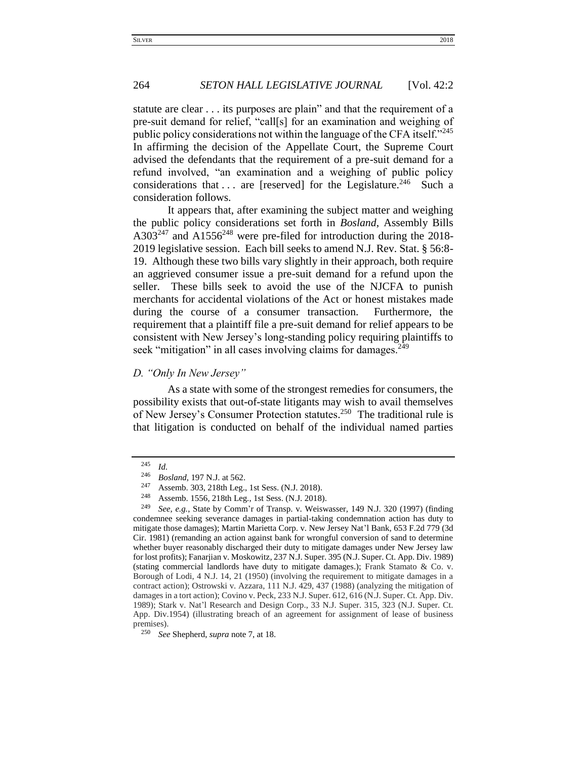statute are clear . . . its purposes are plain" and that the requirement of a pre-suit demand for relief, "call[s] for an examination and weighing of public policy considerations not within the language of the CFA itself."<sup>245</sup> In affirming the decision of the Appellate Court, the Supreme Court advised the defendants that the requirement of a pre-suit demand for a refund involved, "an examination and a weighing of public policy considerations that ... are [reserved] for the Legislature.<sup>246</sup> Such a consideration follows.

264 *SETON HALL LEGISLATIVE JOURNAL* [Vol. 42:2

It appears that, after examining the subject matter and weighing the public policy considerations set forth in *Bosland*, Assembly Bills  $A303^{247}$  and  $A1556^{248}$  were pre-filed for introduction during the 2018-2019 legislative session. Each bill seeks to amend N.J. Rev. Stat. § 56:8- 19. Although these two bills vary slightly in their approach, both require an aggrieved consumer issue a pre-suit demand for a refund upon the seller. These bills seek to avoid the use of the NJCFA to punish merchants for accidental violations of the Act or honest mistakes made during the course of a consumer transaction. Furthermore, the requirement that a plaintiff file a pre-suit demand for relief appears to be consistent with New Jersey's long-standing policy requiring plaintiffs to seek "mitigation" in all cases involving claims for damages.<sup>249</sup>

## <span id="page-29-0"></span>*D. "Only In New Jersey"*

As a state with some of the strongest remedies for consumers, the possibility exists that out-of-state litigants may wish to avail themselves of New Jersey's Consumer Protection statutes.<sup>250</sup> The traditional rule is that litigation is conducted on behalf of the individual named parties

<sup>245</sup> *Id.*

<sup>&</sup>lt;sup>246</sup> *Bosland*, 197 N.J. at 562.<br><sup>247</sup> Assemb <sup>202</sup>, 218th Leg

<sup>&</sup>lt;sup>247</sup> Assemb. 303, 218th Leg., 1st Sess. (N.J. 2018).<br><sup>248</sup> Assemb. 1556, 218th Leg., 1st Sess. (N.J. 2019).

Assemb. 1556, 218th Leg., 1st Sess. (N.J. 2018).

<sup>249</sup> *See, e.g.*, State by Comm'r of Transp. v. Weiswasser*,* 149 N.J. 320 (1997) (finding condemnee seeking severance damages in partial-taking condemnation action has duty to mitigate those damages); Martin Marietta Corp. v. New Jersey Nat'l Bank*,* 653 F.2d 779 (3d Cir. 1981) (remanding an action against bank for wrongful conversion of sand to determine whether buyer reasonably discharged their duty to mitigate damages under New Jersey law for lost profits); Fanarjian v. Moskowitz*,* 237 N.J. Super. 395 (N.J. Super. Ct. App. Div. 1989) (stating commercial landlords have duty to mitigate damages.); Frank Stamato & Co. v. Borough of Lodi, 4 N.J. 14, 21 (1950) (involving the requirement to mitigate damages in a contract action); Ostrowski v. Azzara, 111 N.J. 429, 437 (1988) (analyzing the mitigation of damages in a tort action); Covino v. Peck, 233 N.J. Super. 612, 616 (N.J. Super. Ct. App. Div. 1989); Stark v. Nat'l Research and Design Corp., 33 N.J. Super. 315, 323 (N.J. Super. Ct. App. Div.1954) (illustrating breach of an agreement for assignment of lease of business premises).

<sup>250</sup> *See* Shepherd, *supra* note 7, at 18.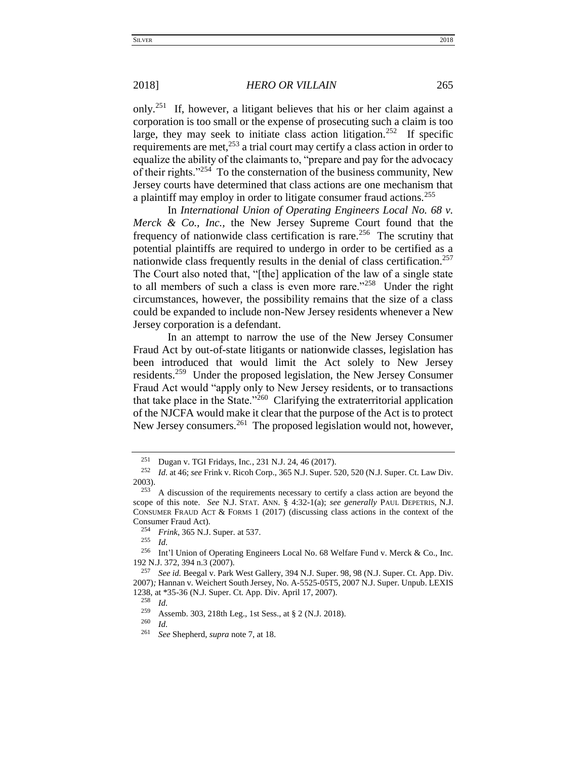only.<sup>251</sup> If, however, a litigant believes that his or her claim against a corporation is too small or the expense of prosecuting such a claim is too large, they may seek to initiate class action litigation.<sup>252</sup> If specific requirements are met,<sup>253</sup> a trial court may certify a class action in order to equalize the ability of the claimants to, "prepare and pay for the advocacy of their rights."<sup>254</sup> To the consternation of the business community, New Jersey courts have determined that class actions are one mechanism that a plaintiff may employ in order to litigate consumer fraud actions.<sup>255</sup>

In *International Union of Operating Engineers Local No. 68 v. Merck & Co., Inc.,* the New Jersey Supreme Court found that the frequency of nationwide class certification is rare.<sup>256</sup> The scrutiny that potential plaintiffs are required to undergo in order to be certified as a nationwide class frequently results in the denial of class certification.<sup>257</sup> The Court also noted that, "[the] application of the law of a single state to all members of such a class is even more rare."<sup>258</sup> Under the right circumstances, however, the possibility remains that the size of a class could be expanded to include non-New Jersey residents whenever a New Jersey corporation is a defendant.

In an attempt to narrow the use of the New Jersey Consumer Fraud Act by out-of-state litigants or nationwide classes, legislation has been introduced that would limit the Act solely to New Jersey residents.<sup>259</sup> Under the proposed legislation, the New Jersey Consumer Fraud Act would "apply only to New Jersey residents, or to transactions that take place in the State."<sup>260</sup> Clarifying the extraterritorial application of the NJCFA would make it clear that the purpose of the Act is to protect New Jersey consumers.<sup>261</sup> The proposed legislation would not, however,

 $\frac{255}{256}$  *Id.* 

 $\frac{258}{259}$  *Id.* 

 $\frac{260}{261}$  *Id.* 

<sup>&</sup>lt;sup>251</sup> Dugan v. TGI Fridays, Inc., 231 N.J. 24, 46 (2017).<br><sup>252</sup> Id. at 46: see Frink v. Picob Corp., 365 N.J. Super, 5

<sup>252</sup> *Id.* at 46; *see* Frink v. Ricoh Corp., 365 N.J. Super. 520, 520 (N.J. Super. Ct. Law Div.  $2003$ ).<br> $253$ 

<sup>253</sup> A discussion of the requirements necessary to certify a class action are beyond the scope of this note. *See* N.J. STAT. ANN. § 4:32-1(a); *see generally* PAUL DEPETRIS, N.J. CONSUMER FRAUD ACT  $&$  FORMS 1 (2017) (discussing class actions in the context of the Consumer Fraud Act).

<sup>&</sup>lt;sup>254</sup> *Frink*, 365 N.J. Super. at 537.

Int'l Union of Operating Engineers Local No. 68 Welfare Fund v. Merck & Co., Inc. 192 N.J. 372, 394 n.3 (2007).

<sup>257</sup> *See id.* Beegal v. Park West Gallery*,* 394 N.J. Super. 98, 98 (N.J. Super. Ct. App. Div. 2007)*;* Hannan v. Weichert South Jersey*,* No. A-5525-05T5, 2007 N.J. Super. Unpub. LEXIS 1238, at \*35-36 (N.J. Super. Ct. App. Div. April 17, 2007).<br><sup>258</sup>  $H$ 

<sup>&</sup>lt;sup>259</sup> Assemb. 303, 218th Leg., 1st Sess., at § 2 (N.J. 2018).

<sup>261</sup> *See* Shepherd, *supra* note 7, at 18.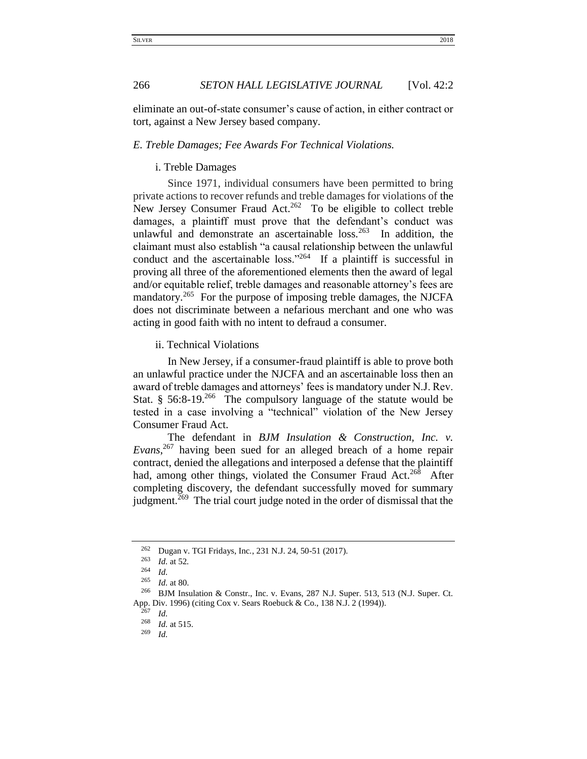eliminate an out-of-state consumer's cause of action, in either contract or tort, against a New Jersey based company.

## <span id="page-31-1"></span><span id="page-31-0"></span>*E. Treble Damages; Fee Awards For Technical Violations.*

## i. Treble Damages

Since 1971, individual consumers have been permitted to bring private actions to recover refunds and treble damages for violations of the New Jersey Consumer Fraud Act. $262$  To be eligible to collect treble damages, a plaintiff must prove that the defendant's conduct was unlawful and demonstrate an ascertainable  $loss<sup>263</sup>$  In addition, the claimant must also establish "a causal relationship between the unlawful conduct and the ascertainable loss."<sup>264</sup> If a plaintiff is successful in proving all three of the aforementioned elements then the award of legal and/or equitable relief, treble damages and reasonable attorney's fees are mandatory.<sup>265</sup> For the purpose of imposing treble damages, the NJCFA does not discriminate between a nefarious merchant and one who was acting in good faith with no intent to defraud a consumer.

<span id="page-31-2"></span>ii. Technical Violations

In New Jersey, if a consumer-fraud plaintiff is able to prove both an unlawful practice under the NJCFA and an ascertainable loss then an award of treble damages and attorneys' fees is mandatory under N.J. Rev. Stat.  $§$  56:8-19.<sup>266</sup> The compulsory language of the statute would be tested in a case involving a "technical" violation of the New Jersey Consumer Fraud Act.

The defendant in *BJM Insulation & Construction, Inc. v. Evans*, <sup>267</sup> having been sued for an alleged breach of a home repair contract, denied the allegations and interposed a defense that the plaintiff had, among other things, violated the Consumer Fraud Act.<sup>268</sup> After completing discovery, the defendant successfully moved for summary judgment.<sup> $269$ </sup> The trial court judge noted in the order of dismissal that the

<sup>&</sup>lt;sup>262</sup> Dugan v. TGI Fridays, Inc., 231 N.J. 24, 50-51 (2017).<br><sup>263</sup> *Id.* at 52

 $\frac{263}{264}$  *Id.* at 52.

 $\frac{264}{265}$  *Id.* 

*Id.* at 80.

<sup>266</sup> BJM Insulation & Constr., Inc. v. Evans, 287 N.J. Super. 513, 513 (N.J. Super. Ct. App. Div. 1996) (citing Cox v. Sears Roebuck & Co., 138 N.J. 2 (1994)).

 $rac{267}{268}$  *Id.* 

 $\frac{268}{269}$  *Id.* at 515.

*Id.*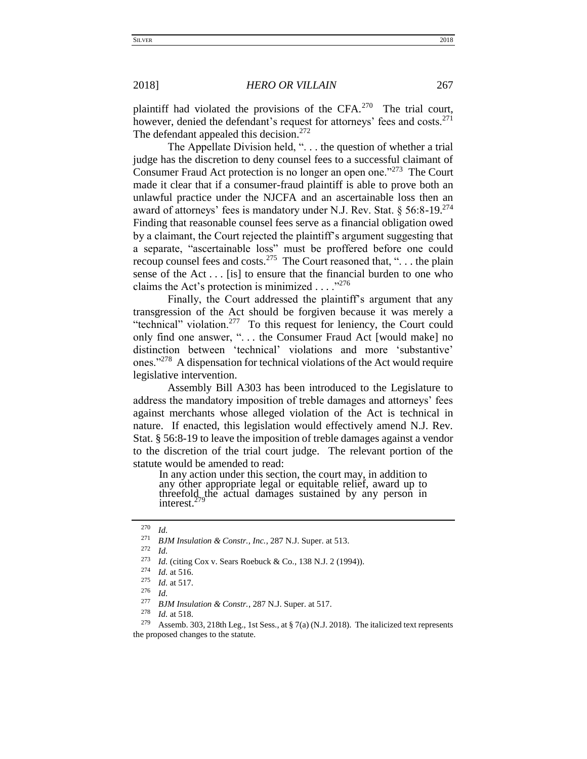plaintiff had violated the provisions of the CFA. $270$  The trial court, however, denied the defendant's request for attorneys' fees and costs. $271$ The defendant appealed this decision.<sup>272</sup>

The Appellate Division held, ". . . the question of whether a trial judge has the discretion to deny counsel fees to a successful claimant of Consumer Fraud Act protection is no longer an open one."<sup>273</sup> The Court made it clear that if a consumer-fraud plaintiff is able to prove both an unlawful practice under the NJCFA and an ascertainable loss then an award of attorneys' fees is mandatory under N.J. Rev. Stat. §  $56:8-19.^{274}$ Finding that reasonable counsel fees serve as a financial obligation owed by a claimant, the Court rejected the plaintiff's argument suggesting that a separate, "ascertainable loss" must be proffered before one could recoup counsel fees and costs.<sup>275</sup> The Court reasoned that, "... the plain sense of the Act  $\dots$  [is] to ensure that the financial burden to one who claims the Act's protection is minimized  $\dots$ ."<sup>276</sup>

Finally, the Court addressed the plaintiff's argument that any transgression of the Act should be forgiven because it was merely a "technical" violation.<sup>277</sup> To this request for leniency, the Court could only find one answer, ". . . the Consumer Fraud Act [would make] no distinction between 'technical' violations and more 'substantive' ones."<sup>278</sup> A dispensation for technical violations of the Act would require legislative intervention.

Assembly Bill A303 has been introduced to the Legislature to address the mandatory imposition of treble damages and attorneys' fees against merchants whose alleged violation of the Act is technical in nature. If enacted, this legislation would effectively amend N.J. Rev. Stat. § 56:8-19 to leave the imposition of treble damages against a vendor to the discretion of the trial court judge. The relevant portion of the statute would be amended to read:

In any action under this section, the court may, in addition to any other appropriate legal or equitable relief, award up to threefold the actual damages sustained by any person in interest.<sup>2</sup>

 $rac{272}{273}$  *Id.* 

 $\frac{270}{271}$  *Id.* 

<sup>&</sup>lt;sup>2/1</sup> *BJM Insulation & Constr., Inc.,* 287 N.J. Super. at 513.

*Id.* (citing Cox v. Sears Roebuck & Co., 138 N.J. 2 (1994)).

 $\frac{274}{275}$  *Id.* at 516.

 $\frac{275}{276}$  *Id.* at 517.

*Id.* 

<sup>&</sup>lt;sup>277</sup> *BJM Insulation & Constr.*, 287 N.J. Super. at 517.

*Id.* at 518.

<sup>&</sup>lt;sup>279</sup> Assemb. 303, 218th Leg., 1st Sess., at § 7(a) (N.J. 2018). The italicized text represents the proposed changes to the statute.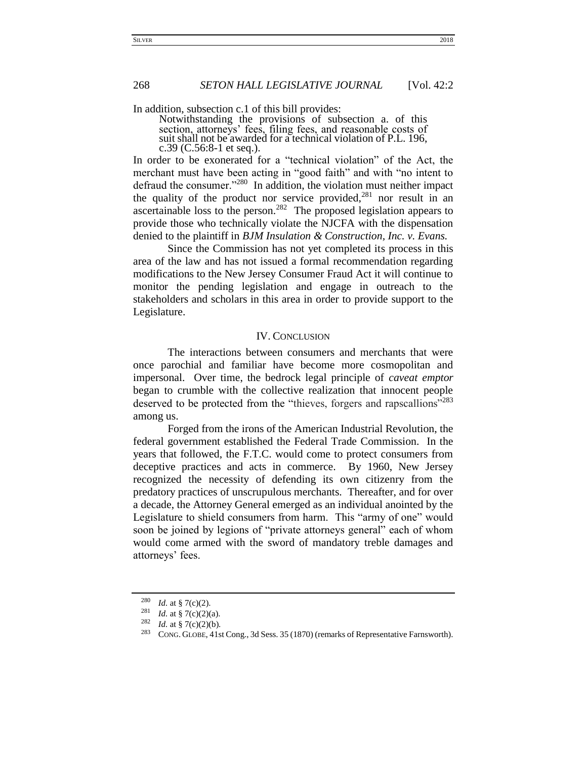In addition, subsection c.1 of this bill provides:

Notwithstanding the provisions of subsection a. of this section, attorneys' fees, filing fees, and reasonable costs of suit shall not be awarded for a technical violation of P.L. 196, c.39 (C.56:8-1 et seq.).

In order to be exonerated for a "technical violation" of the Act, the merchant must have been acting in "good faith" and with "no intent to defraud the consumer."<sup>280</sup> In addition, the violation must neither impact the quality of the product nor service provided, $281$  nor result in an ascertainable loss to the person.<sup>282</sup> The proposed legislation appears to provide those who technically violate the NJCFA with the dispensation denied to the plaintiff in *BJM Insulation & Construction, Inc. v. Evans.*

Since the Commission has not yet completed its process in this area of the law and has not issued a formal recommendation regarding modifications to the New Jersey Consumer Fraud Act it will continue to monitor the pending legislation and engage in outreach to the stakeholders and scholars in this area in order to provide support to the Legislature.

## IV. CONCLUSION

<span id="page-33-0"></span>The interactions between consumers and merchants that were once parochial and familiar have become more cosmopolitan and impersonal. Over time, the bedrock legal principle of *caveat emptor* began to crumble with the collective realization that innocent people deserved to be protected from the "thieves, forgers and rapscallions"<sup>283</sup> among us.

Forged from the irons of the American Industrial Revolution, the federal government established the Federal Trade Commission. In the years that followed, the F.T.C. would come to protect consumers from deceptive practices and acts in commerce. By 1960, New Jersey recognized the necessity of defending its own citizenry from the predatory practices of unscrupulous merchants. Thereafter, and for over a decade, the Attorney General emerged as an individual anointed by the Legislature to shield consumers from harm. This "army of one" would soon be joined by legions of "private attorneys general" each of whom would come armed with the sword of mandatory treble damages and attorneys' fees.

 $\frac{280}{281}$  *Id.* at § 7(c)(2).

*Id.* at § 7(c)(2)(a).

<sup>&</sup>lt;sup>282</sup> *Id.* at § 7(c)(2)(b).

<sup>283</sup> CONG. GLOBE, 41st Cong., 3d Sess. 35 (1870) (remarks of Representative Farnsworth).